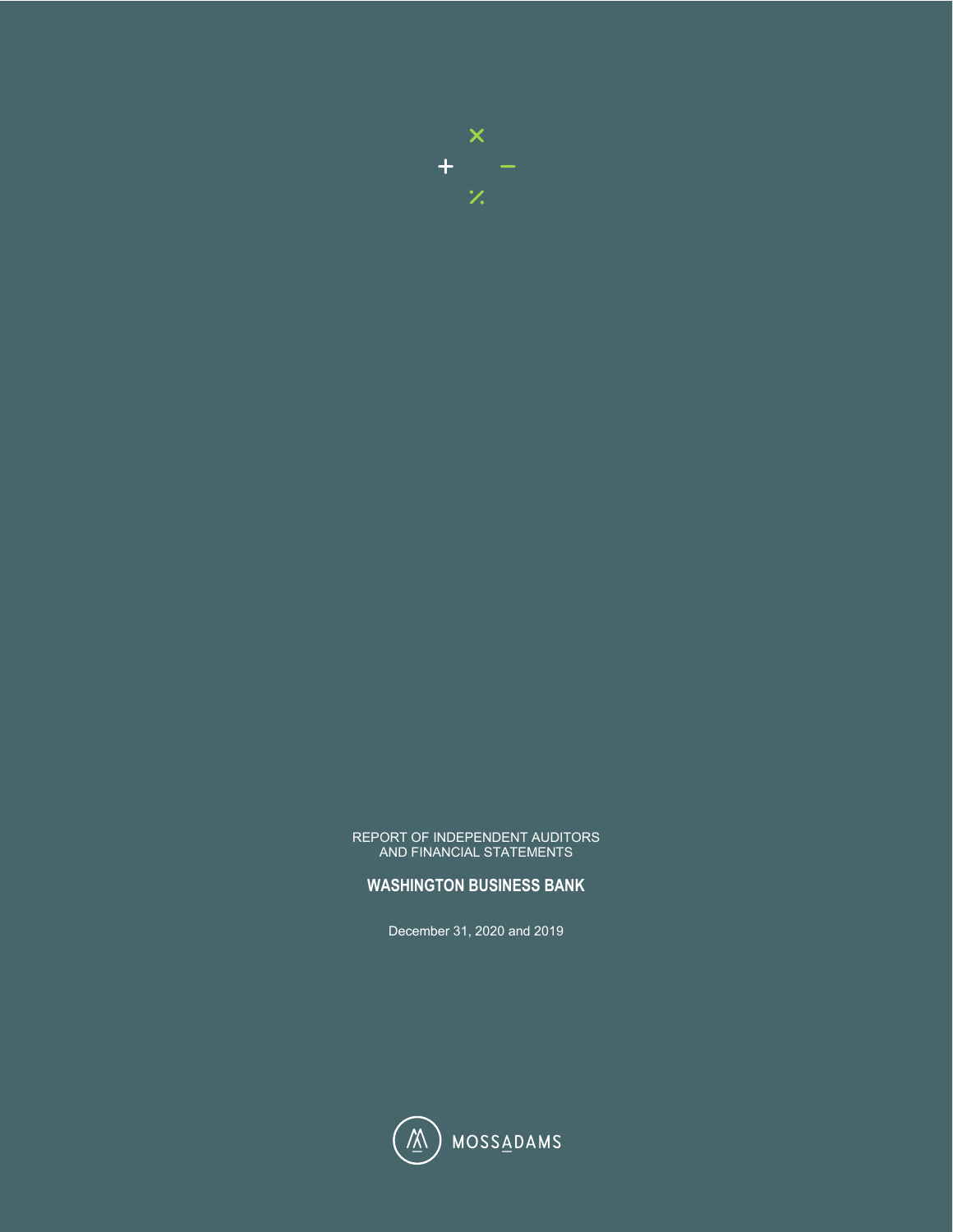

#### REPORT OF INDEPENDENT AUDITORS AND FINANCIAL STATEMENTS

#### **WASHINGTON BUSINESS BANK**

December 31, 2020 and 2019

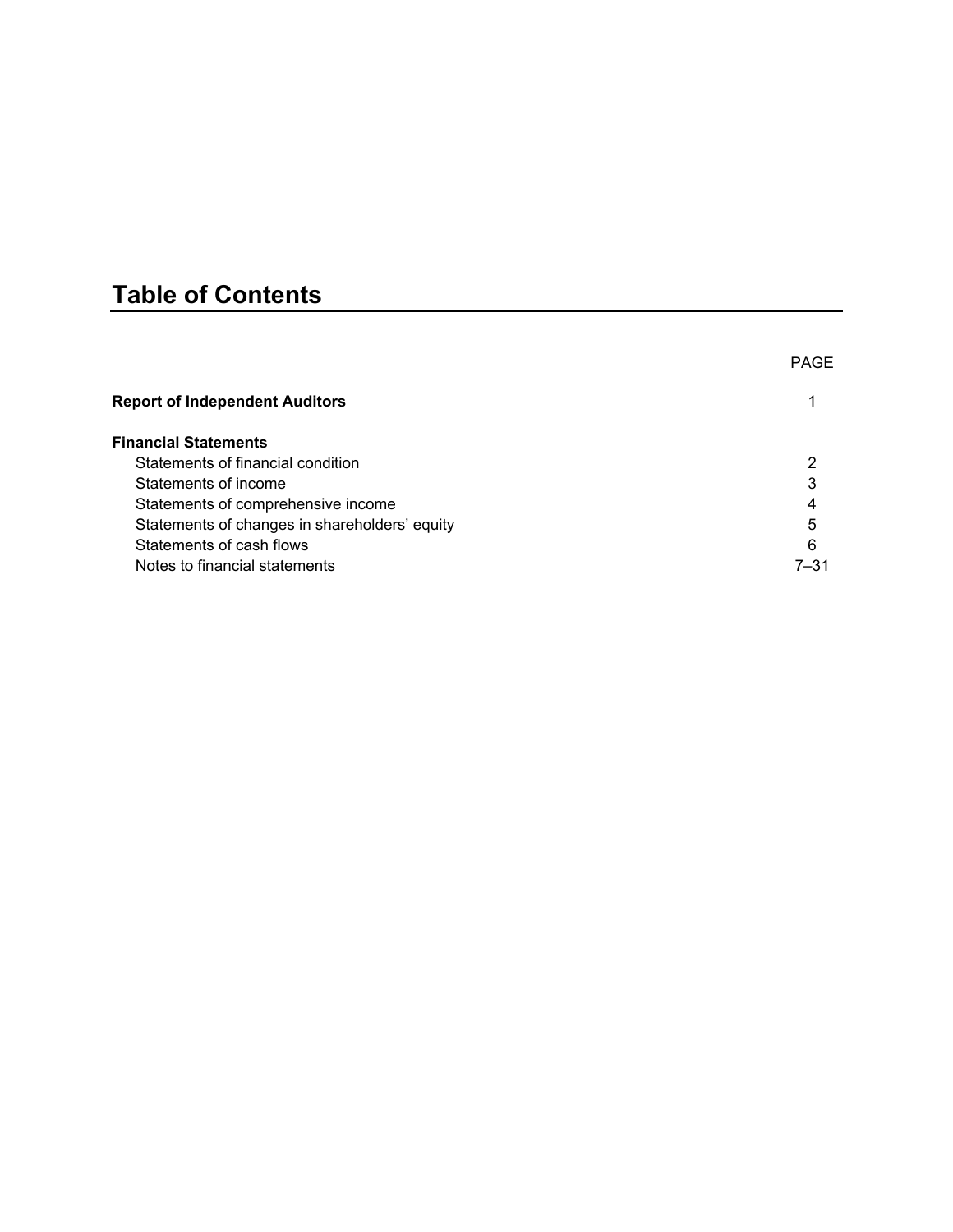# **Table of Contents**

|                                               | <b>PAGE</b> |
|-----------------------------------------------|-------------|
| <b>Report of Independent Auditors</b>         |             |
| <b>Financial Statements</b>                   |             |
| Statements of financial condition             |             |
| Statements of income                          | 3           |
| Statements of comprehensive income            | 4           |
| Statements of changes in shareholders' equity | 5           |
| Statements of cash flows                      | 6           |
| Notes to financial statements                 | 7–31        |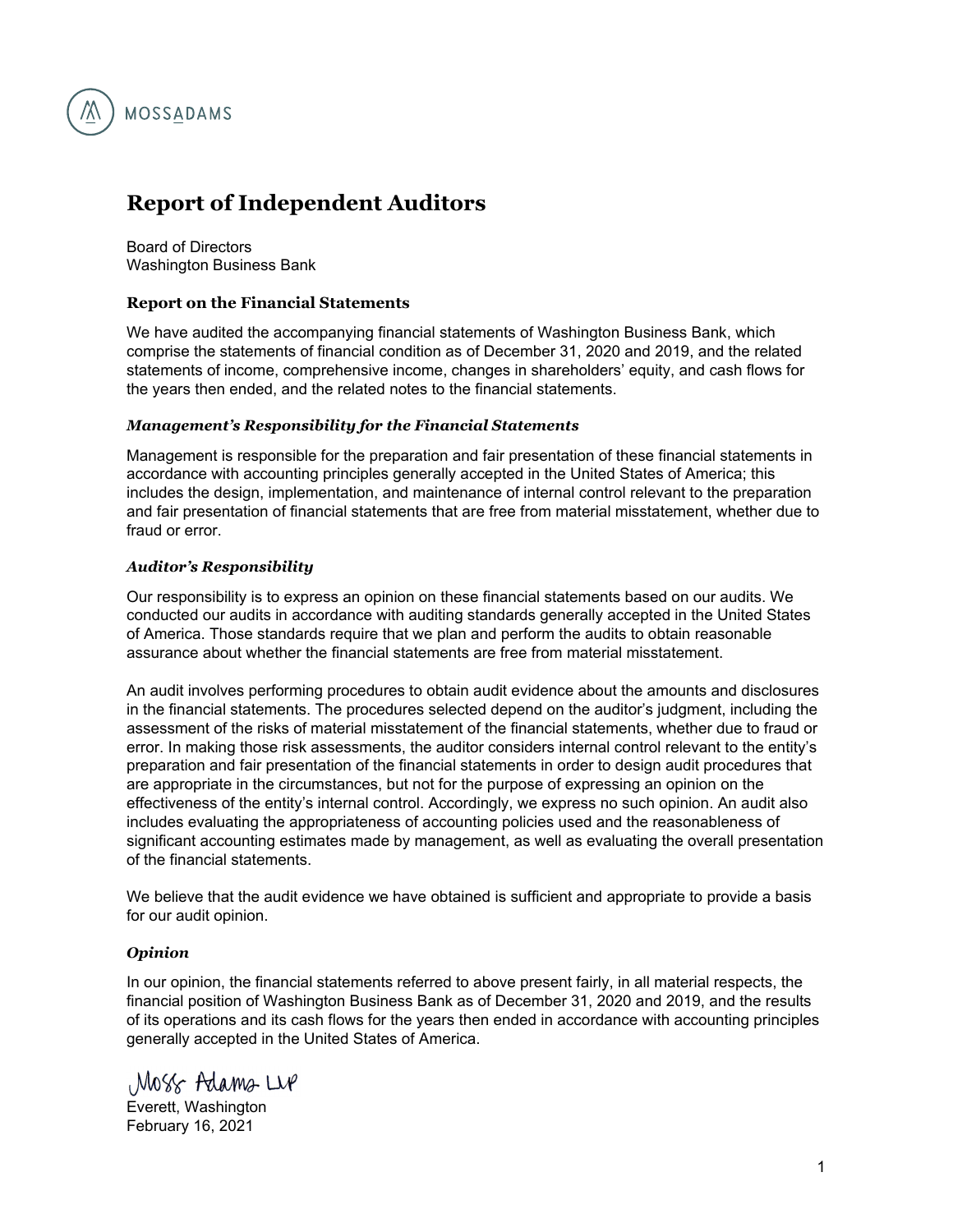

## **Report of Independent Auditors**

Board of Directors Washington Business Bank

#### **Report on the Financial Statements**

We have audited the accompanying financial statements of Washington Business Bank, which comprise the statements of financial condition as of December 31, 2020 and 2019, and the related statements of income, comprehensive income, changes in shareholders' equity, and cash flows for the years then ended, and the related notes to the financial statements.

#### *Management's Responsibility for the Financial Statements*

Management is responsible for the preparation and fair presentation of these financial statements in accordance with accounting principles generally accepted in the United States of America; this includes the design, implementation, and maintenance of internal control relevant to the preparation and fair presentation of financial statements that are free from material misstatement, whether due to fraud or error.

#### *Auditor's Responsibility*

Our responsibility is to express an opinion on these financial statements based on our audits. We conducted our audits in accordance with auditing standards generally accepted in the United States of America. Those standards require that we plan and perform the audits to obtain reasonable assurance about whether the financial statements are free from material misstatement.

An audit involves performing procedures to obtain audit evidence about the amounts and disclosures in the financial statements. The procedures selected depend on the auditor's judgment, including the assessment of the risks of material misstatement of the financial statements, whether due to fraud or error. In making those risk assessments, the auditor considers internal control relevant to the entity's preparation and fair presentation of the financial statements in order to design audit procedures that are appropriate in the circumstances, but not for the purpose of expressing an opinion on the effectiveness of the entity's internal control. Accordingly, we express no such opinion. An audit also includes evaluating the appropriateness of accounting policies used and the reasonableness of significant accounting estimates made by management, as well as evaluating the overall presentation of the financial statements.

We believe that the audit evidence we have obtained is sufficient and appropriate to provide a basis for our audit opinion.

#### *Opinion*

In our opinion, the financial statements referred to above present fairly, in all material respects, the financial position of Washington Business Bank as of December 31, 2020 and 2019, and the results of its operations and its cash flows for the years then ended in accordance with accounting principles generally accepted in the United States of America.

Moss Adams Live

Everett, Washington February 16, 2021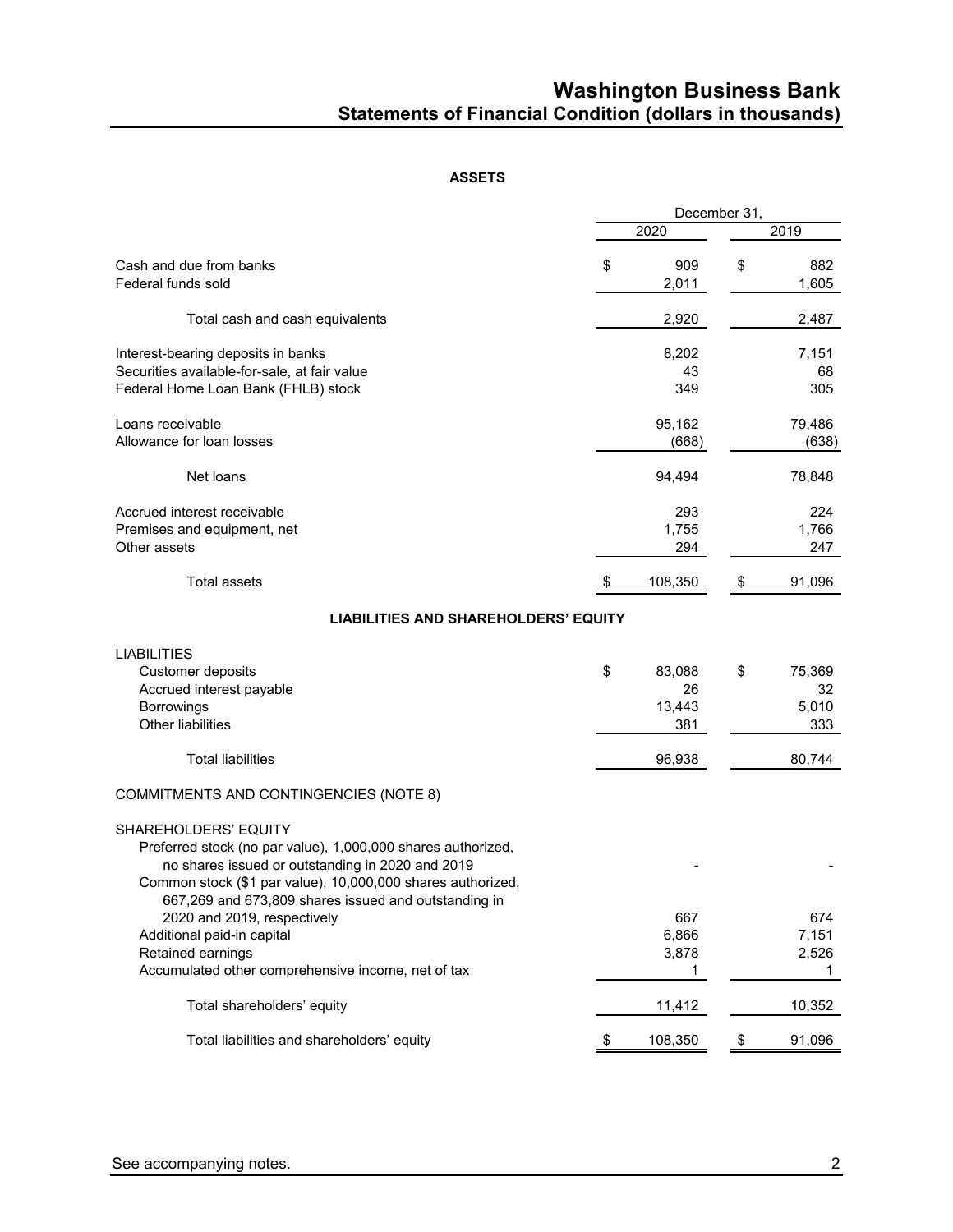## **Washington Business Bank Statements of Financial Condition (dollars in thousands)**

#### **ASSETS**

|                                                                                                                                                                                                                                                                                                                                                                                                         |                                     | December 31, |                              |
|---------------------------------------------------------------------------------------------------------------------------------------------------------------------------------------------------------------------------------------------------------------------------------------------------------------------------------------------------------------------------------------------------------|-------------------------------------|--------------|------------------------------|
|                                                                                                                                                                                                                                                                                                                                                                                                         | 2020                                |              | 2019                         |
| Cash and due from banks<br>Federal funds sold                                                                                                                                                                                                                                                                                                                                                           | \$<br>909<br>2,011                  | \$           | 882<br>1,605                 |
| Total cash and cash equivalents                                                                                                                                                                                                                                                                                                                                                                         | 2,920                               |              | 2,487                        |
| Interest-bearing deposits in banks<br>Securities available-for-sale, at fair value<br>Federal Home Loan Bank (FHLB) stock                                                                                                                                                                                                                                                                               | 8,202<br>43<br>349                  |              | 7,151<br>68<br>305           |
| Loans receivable<br>Allowance for loan losses                                                                                                                                                                                                                                                                                                                                                           | 95,162<br>(668)                     |              | 79,486<br>(638)              |
| Net loans                                                                                                                                                                                                                                                                                                                                                                                               | 94,494                              |              | 78,848                       |
| Accrued interest receivable<br>Premises and equipment, net<br>Other assets                                                                                                                                                                                                                                                                                                                              | 293<br>1,755<br>294                 |              | 224<br>1,766<br>247          |
| <b>Total assets</b>                                                                                                                                                                                                                                                                                                                                                                                     | 108,350                             |              | 91,096                       |
| <b>LIABILITIES AND SHAREHOLDERS' EQUITY</b>                                                                                                                                                                                                                                                                                                                                                             |                                     |              |                              |
| <b>LIABILITIES</b><br>Customer deposits<br>Accrued interest payable<br>Borrowings<br><b>Other liabilities</b>                                                                                                                                                                                                                                                                                           | \$<br>83,088<br>26<br>13,443<br>381 | \$           | 75,369<br>32<br>5,010<br>333 |
| <b>Total liabilities</b>                                                                                                                                                                                                                                                                                                                                                                                | 96,938                              |              | 80,744                       |
| COMMITMENTS AND CONTINGENCIES (NOTE 8)                                                                                                                                                                                                                                                                                                                                                                  |                                     |              |                              |
| SHAREHOLDERS' EQUITY<br>Preferred stock (no par value), 1,000,000 shares authorized,<br>no shares issued or outstanding in 2020 and 2019<br>Common stock (\$1 par value), 10,000,000 shares authorized,<br>667,269 and 673,809 shares issued and outstanding in<br>2020 and 2019, respectively<br>Additional paid-in capital<br>Retained earnings<br>Accumulated other comprehensive income, net of tax | 667<br>6,866<br>3,878<br>1          |              | 674<br>7,151<br>2,526<br>1   |
| Total shareholders' equity                                                                                                                                                                                                                                                                                                                                                                              | 11,412                              |              | 10,352                       |
| Total liabilities and shareholders' equity                                                                                                                                                                                                                                                                                                                                                              | \$<br>108,350                       | \$           | 91,096                       |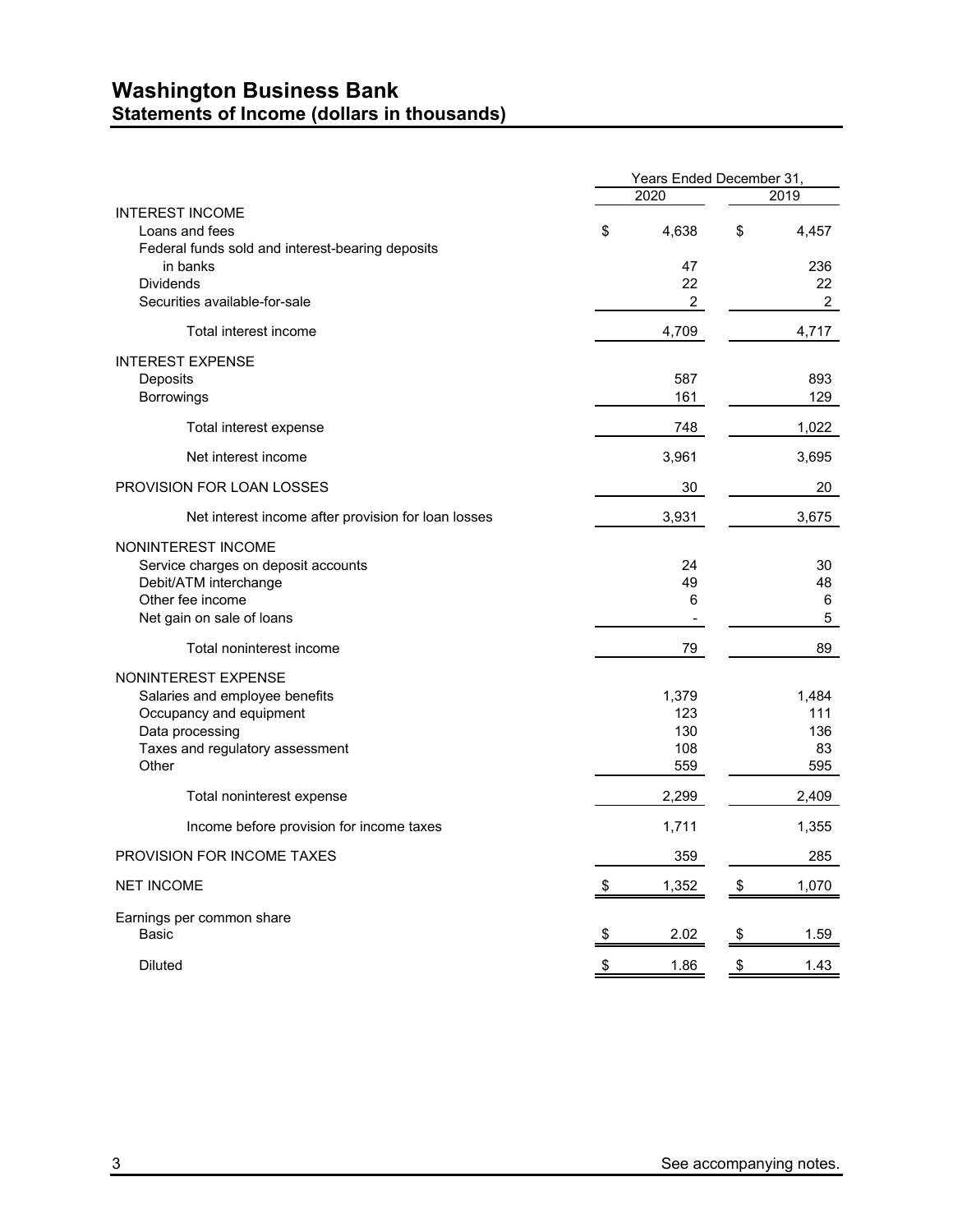### **Washington Business Bank Statements of Income (dollars in thousands)**

|                                                              | Years Ended December 31, |                |    |                |  |  |
|--------------------------------------------------------------|--------------------------|----------------|----|----------------|--|--|
|                                                              |                          | 2020           |    | 2019           |  |  |
| <b>INTEREST INCOME</b><br>Loans and fees                     | \$                       | 4,638          | \$ | 4,457          |  |  |
| Federal funds sold and interest-bearing deposits<br>in banks |                          | 47             |    | 236            |  |  |
| <b>Dividends</b>                                             |                          | 22             |    | 22             |  |  |
| Securities available-for-sale                                |                          | $\overline{c}$ |    | $\overline{2}$ |  |  |
| Total interest income                                        |                          | 4,709          |    | 4,717          |  |  |
| <b>INTEREST EXPENSE</b>                                      |                          |                |    |                |  |  |
| Deposits                                                     |                          | 587            |    | 893            |  |  |
| Borrowings                                                   |                          | 161            |    | 129            |  |  |
| Total interest expense                                       |                          | 748            |    | 1,022          |  |  |
| Net interest income                                          |                          | 3,961          |    | 3,695          |  |  |
| <b>PROVISION FOR LOAN LOSSES</b>                             |                          | 30             |    | 20             |  |  |
| Net interest income after provision for loan losses          |                          | 3,931          |    | 3,675          |  |  |
| NONINTEREST INCOME                                           |                          |                |    |                |  |  |
| Service charges on deposit accounts                          |                          | 24             |    | 30             |  |  |
| Debit/ATM interchange                                        |                          | 49             |    | 48             |  |  |
| Other fee income                                             |                          | 6              |    | 6              |  |  |
| Net gain on sale of loans                                    |                          |                |    | 5              |  |  |
| Total noninterest income                                     |                          | 79             |    | 89             |  |  |
| NONINTEREST EXPENSE                                          |                          |                |    |                |  |  |
| Salaries and employee benefits                               |                          | 1,379          |    | 1,484          |  |  |
| Occupancy and equipment                                      |                          | 123            |    | 111            |  |  |
| Data processing                                              |                          | 130            |    | 136            |  |  |
| Taxes and regulatory assessment<br>Other                     |                          | 108<br>559     |    | 83<br>595      |  |  |
| Total noninterest expense                                    |                          | 2,299          |    | 2,409          |  |  |
| Income before provision for income taxes                     |                          | 1,711          |    | 1,355          |  |  |
| <b>PROVISION FOR INCOME TAXES</b>                            |                          | 359            |    | 285            |  |  |
|                                                              |                          |                |    |                |  |  |
| <b>NET INCOME</b>                                            | \$                       | 1,352          | \$ | 1,070          |  |  |
| Earnings per common share                                    |                          |                |    |                |  |  |
| Basic                                                        | \$                       | 2.02           | \$ | 1.59           |  |  |
| <b>Diluted</b>                                               | \$                       | 1.86           | \$ | 1.43           |  |  |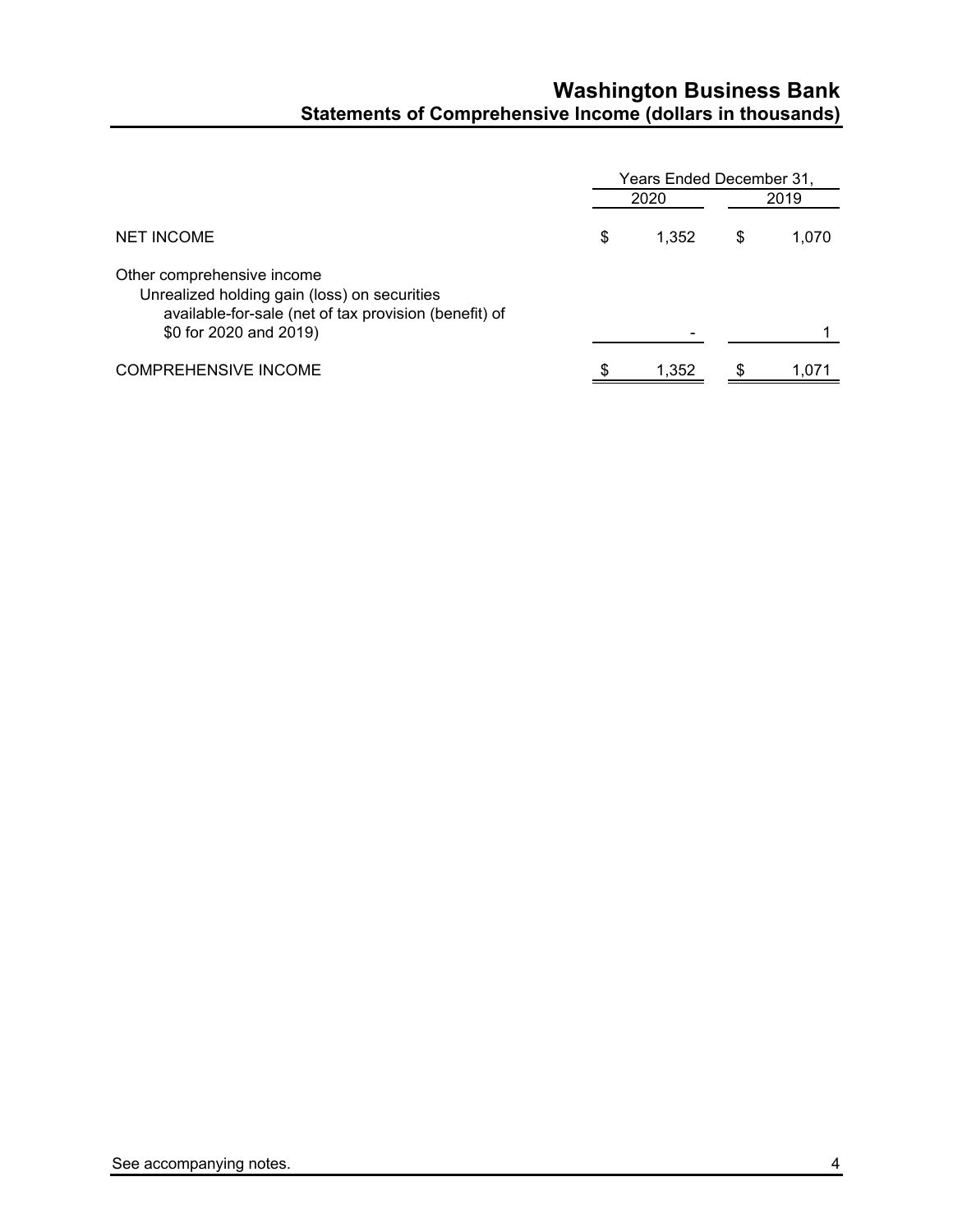## **Washington Business Bank Statements of Comprehensive Income (dollars in thousands)**

|                                                                                                                                                               | Years Ended December 31, |    |       |  |  |
|---------------------------------------------------------------------------------------------------------------------------------------------------------------|--------------------------|----|-------|--|--|
|                                                                                                                                                               | 2020                     |    | 2019  |  |  |
| <b>NET INCOME</b>                                                                                                                                             | \$<br>1.352              | \$ | 1,070 |  |  |
| Other comprehensive income<br>Unrealized holding gain (loss) on securities<br>available-for-sale (net of tax provision (benefit) of<br>\$0 for 2020 and 2019) |                          |    |       |  |  |
| <b>COMPREHENSIVE INCOME</b>                                                                                                                                   | \$<br>1.352              | S  | 1.071 |  |  |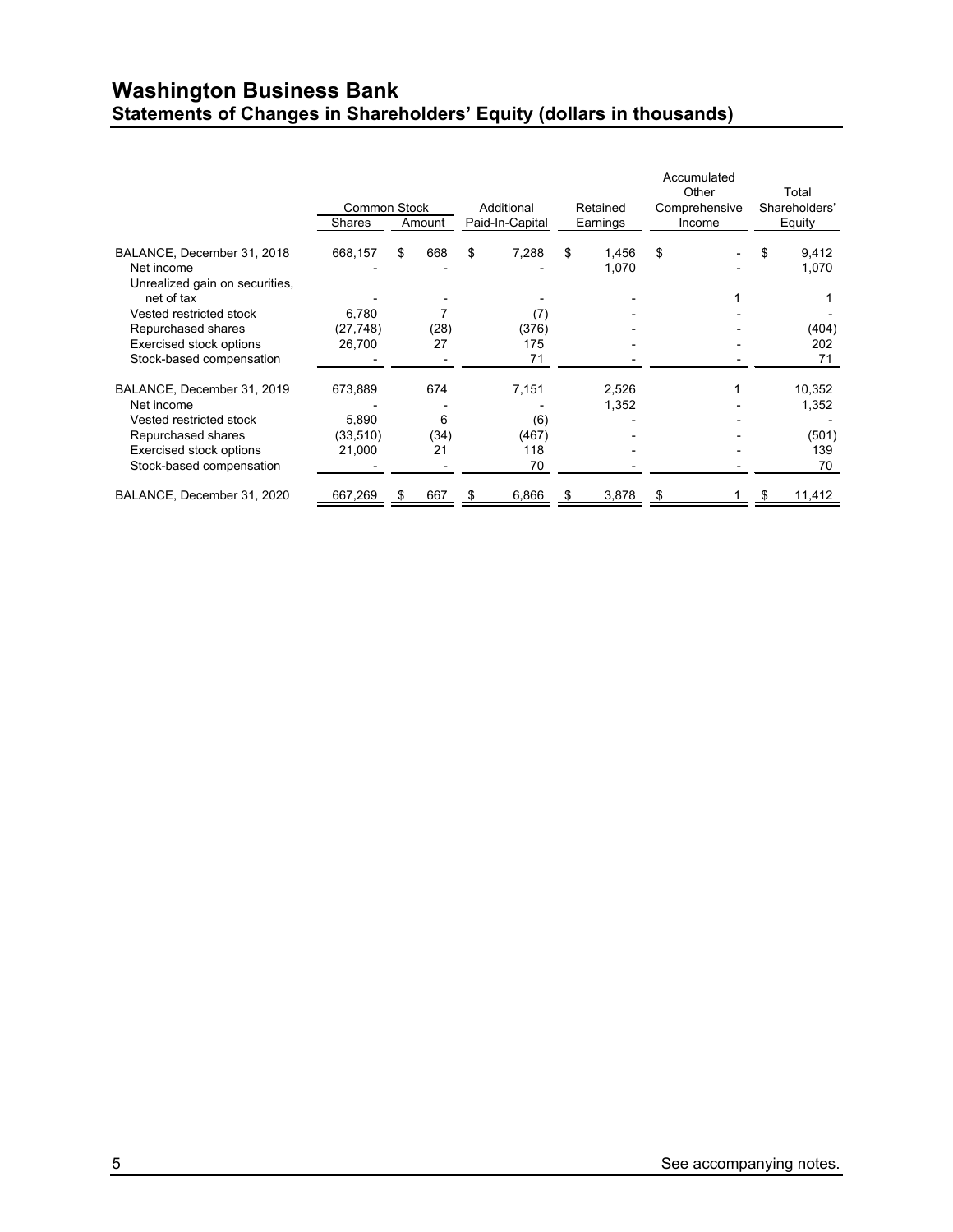## **Washington Business Bank Statements of Changes in Shareholders' Equity (dollars in thousands)**

|                                              |                     |        |      |                 |            |    |                |        | Accumulated<br>Other |               | Total           |  |
|----------------------------------------------|---------------------|--------|------|-----------------|------------|----|----------------|--------|----------------------|---------------|-----------------|--|
|                                              | <b>Common Stock</b> |        |      |                 | Additional |    | Retained       |        | Comprehensive        | Shareholders' |                 |  |
|                                              | <b>Shares</b>       | Amount |      | Paid-In-Capital | Earnings   |    |                | Income | Equity               |               |                 |  |
| BALANCE, December 31, 2018<br>Net income     | 668,157             | \$     | 668  | \$              | 7,288      | \$ | 1,456<br>1,070 | \$     |                      | S             | 9,412<br>1,070  |  |
| Unrealized gain on securities,<br>net of tax |                     |        |      |                 |            |    |                |        |                      |               |                 |  |
| Vested restricted stock                      | 6,780               |        |      |                 | (7)        |    |                |        |                      |               |                 |  |
| Repurchased shares                           | (27, 748)           |        | (28) |                 | (376)      |    |                |        |                      |               | (404)           |  |
| <b>Exercised stock options</b>               | 26,700              |        | 27   |                 | 175        |    |                |        |                      |               | 202             |  |
| Stock-based compensation                     |                     |        |      |                 | 71         |    |                |        |                      |               | 71              |  |
| BALANCE, December 31, 2019<br>Net income     | 673,889             |        | 674  |                 | 7,151      |    | 2,526<br>1,352 |        |                      |               | 10,352<br>1,352 |  |
| Vested restricted stock                      | 5,890               |        | 6    |                 | (6)        |    |                |        |                      |               |                 |  |
| Repurchased shares                           | (33,510)            |        | (34) |                 | (467)      |    |                |        |                      |               | (501)           |  |
| <b>Exercised stock options</b>               | 21,000              |        | 21   |                 | 118        |    |                |        |                      |               | 139             |  |
| Stock-based compensation                     |                     |        |      |                 | 70         |    |                |        |                      |               | 70              |  |
| BALANCE, December 31, 2020                   | 667,269             | S      | 667  | S               | 6,866      | æ. | 3,878          |        |                      |               | 11,412          |  |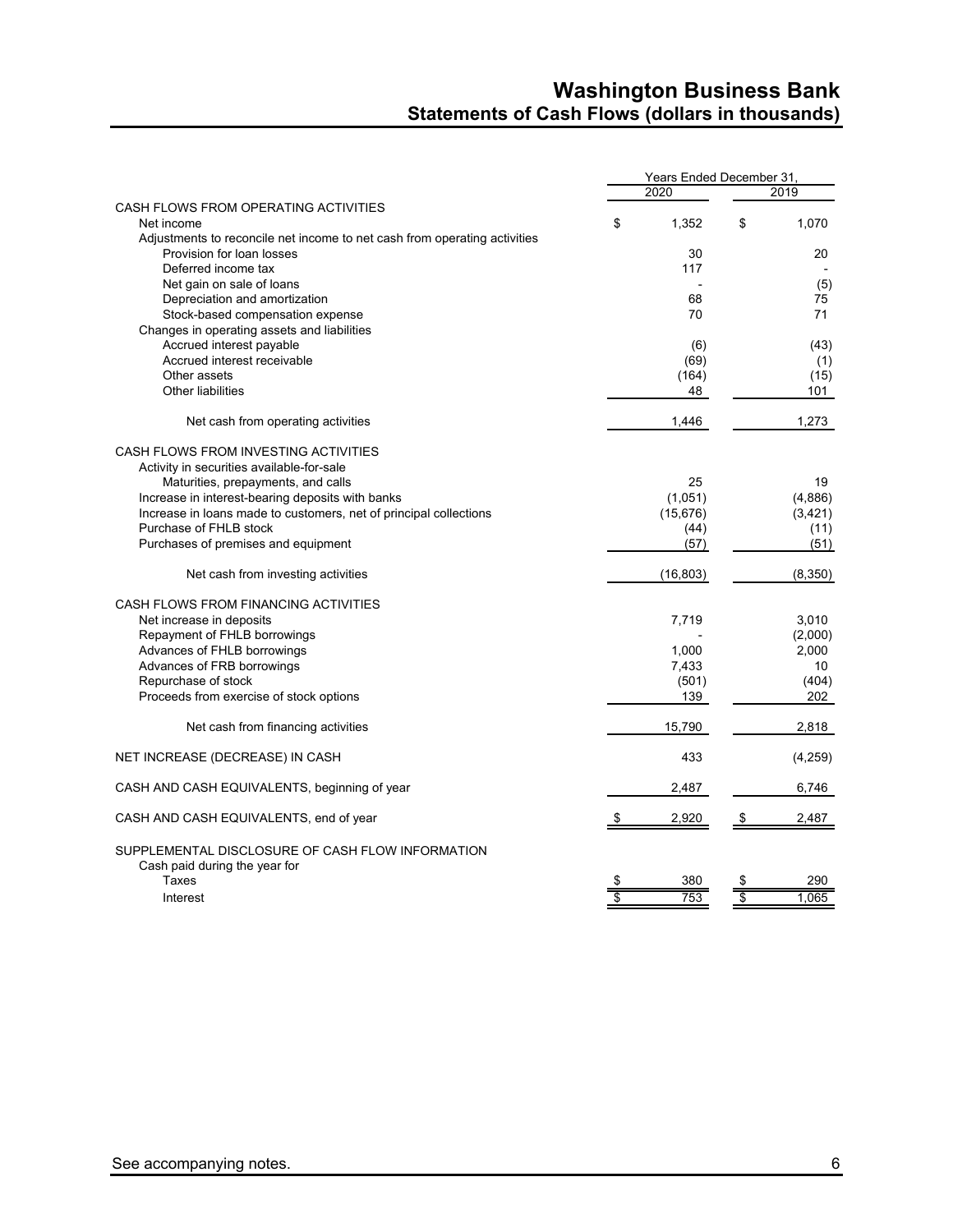## **Washington Business Bank Statements of Cash Flows (dollars in thousands)**

|                                                                           |    |           | Years Ended December 31, |          |  |  |
|---------------------------------------------------------------------------|----|-----------|--------------------------|----------|--|--|
|                                                                           |    | 2020      |                          | 2019     |  |  |
| CASH FLOWS FROM OPERATING ACTIVITIES                                      |    |           |                          |          |  |  |
| Net income                                                                | \$ | 1,352     | \$                       | 1,070    |  |  |
| Adjustments to reconcile net income to net cash from operating activities |    |           |                          |          |  |  |
| Provision for loan losses                                                 |    | 30        |                          | 20       |  |  |
| Deferred income tax                                                       |    | 117       |                          |          |  |  |
| Net gain on sale of loans                                                 |    |           |                          | (5)      |  |  |
| Depreciation and amortization                                             |    | 68        |                          | 75       |  |  |
| Stock-based compensation expense                                          |    | 70        |                          | 71       |  |  |
| Changes in operating assets and liabilities                               |    |           |                          |          |  |  |
| Accrued interest payable                                                  |    | (6)       |                          | (43)     |  |  |
| Accrued interest receivable                                               |    | (69)      |                          | (1)      |  |  |
| Other assets                                                              |    | (164)     |                          | (15)     |  |  |
| <b>Other liabilities</b>                                                  |    | 48        |                          | 101      |  |  |
|                                                                           |    |           |                          |          |  |  |
| Net cash from operating activities                                        |    | 1,446     |                          | 1,273    |  |  |
| CASH FLOWS FROM INVESTING ACTIVITIES                                      |    |           |                          |          |  |  |
| Activity in securities available-for-sale                                 |    |           |                          |          |  |  |
| Maturities, prepayments, and calls                                        |    | 25        |                          | 19       |  |  |
| Increase in interest-bearing deposits with banks                          |    | (1,051)   |                          | (4,886)  |  |  |
| Increase in loans made to customers, net of principal collections         |    | (15, 676) |                          | (3, 421) |  |  |
| Purchase of FHLB stock                                                    |    | (44)      |                          | (11)     |  |  |
| Purchases of premises and equipment                                       |    | (57)      |                          | (51)     |  |  |
|                                                                           |    |           |                          |          |  |  |
| Net cash from investing activities                                        |    | (16, 803) |                          | (8,350)  |  |  |
| CASH FLOWS FROM FINANCING ACTIVITIES                                      |    |           |                          |          |  |  |
| Net increase in deposits                                                  |    | 7,719     |                          | 3,010    |  |  |
| Repayment of FHLB borrowings                                              |    |           |                          | (2,000)  |  |  |
| Advances of FHLB borrowings                                               |    | 1,000     |                          | 2,000    |  |  |
| Advances of FRB borrowings                                                |    | 7,433     |                          | 10       |  |  |
| Repurchase of stock                                                       |    | (501)     |                          | (404)    |  |  |
| Proceeds from exercise of stock options                                   |    | 139       |                          | 202      |  |  |
| Net cash from financing activities                                        |    | 15,790    |                          | 2,818    |  |  |
| NET INCREASE (DECREASE) IN CASH                                           |    | 433       |                          | (4,259)  |  |  |
| CASH AND CASH EQUIVALENTS, beginning of year                              |    | 2,487     |                          | 6,746    |  |  |
| CASH AND CASH EQUIVALENTS, end of year                                    | S  | 2,920     | \$                       | 2,487    |  |  |
| SUPPLEMENTAL DISCLOSURE OF CASH FLOW INFORMATION                          |    |           |                          |          |  |  |
| Cash paid during the year for                                             |    |           |                          |          |  |  |
| Taxes                                                                     | \$ | 380       |                          | 290      |  |  |
| Interest                                                                  | \$ | 753       | \$                       | 1,065    |  |  |
|                                                                           |    |           |                          |          |  |  |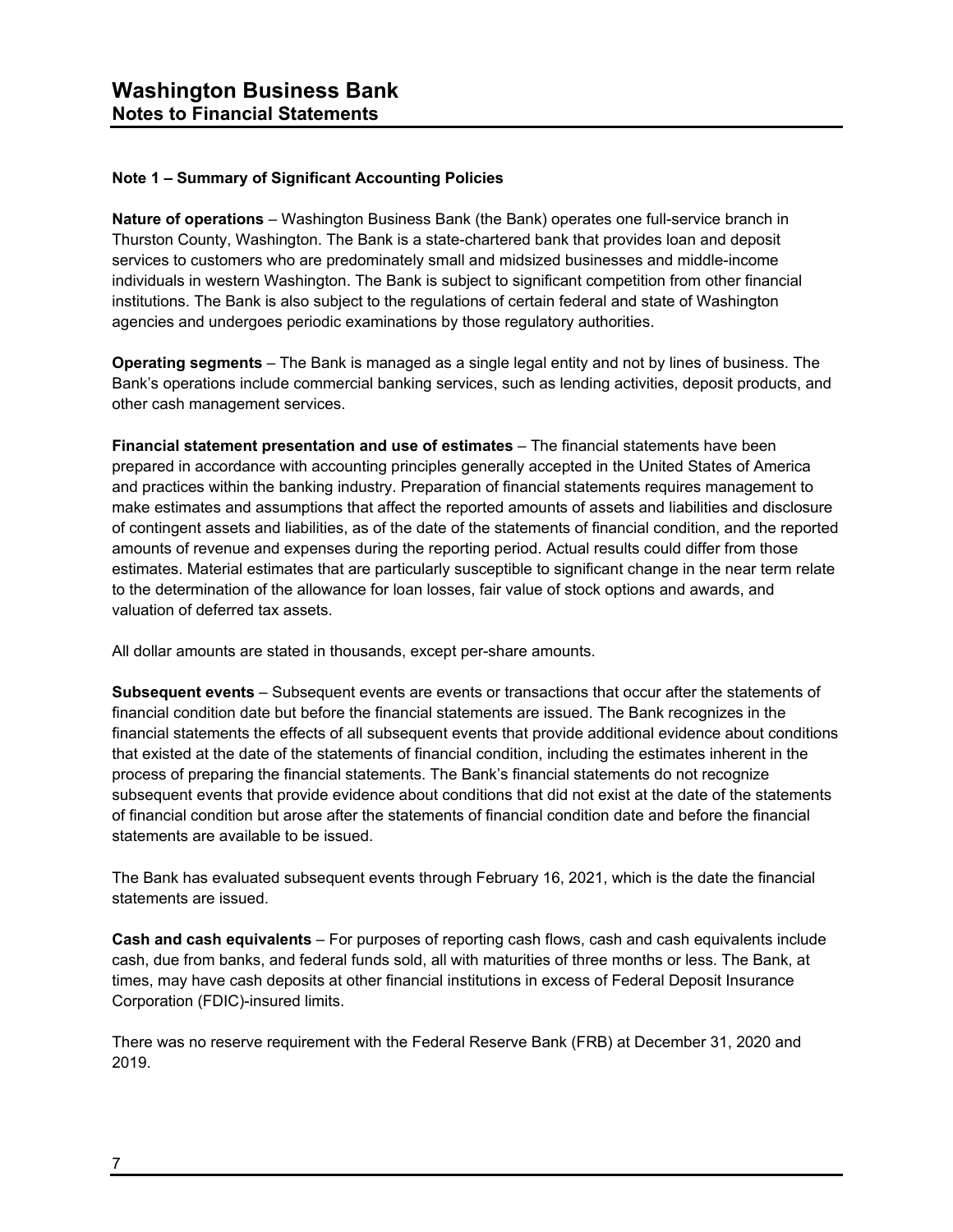#### **Note 1 – Summary of Significant Accounting Policies**

**Nature of operations** – Washington Business Bank (the Bank) operates one full-service branch in Thurston County, Washington. The Bank is a state-chartered bank that provides loan and deposit services to customers who are predominately small and midsized businesses and middle-income individuals in western Washington. The Bank is subject to significant competition from other financial institutions. The Bank is also subject to the regulations of certain federal and state of Washington agencies and undergoes periodic examinations by those regulatory authorities.

**Operating segments** – The Bank is managed as a single legal entity and not by lines of business. The Bank's operations include commercial banking services, such as lending activities, deposit products, and other cash management services.

**Financial statement presentation and use of estimates** – The financial statements have been prepared in accordance with accounting principles generally accepted in the United States of America and practices within the banking industry. Preparation of financial statements requires management to make estimates and assumptions that affect the reported amounts of assets and liabilities and disclosure of contingent assets and liabilities, as of the date of the statements of financial condition, and the reported amounts of revenue and expenses during the reporting period. Actual results could differ from those estimates. Material estimates that are particularly susceptible to significant change in the near term relate to the determination of the allowance for loan losses, fair value of stock options and awards, and valuation of deferred tax assets.

All dollar amounts are stated in thousands, except per-share amounts.

**Subsequent events** – Subsequent events are events or transactions that occur after the statements of financial condition date but before the financial statements are issued. The Bank recognizes in the financial statements the effects of all subsequent events that provide additional evidence about conditions that existed at the date of the statements of financial condition, including the estimates inherent in the process of preparing the financial statements. The Bank's financial statements do not recognize subsequent events that provide evidence about conditions that did not exist at the date of the statements of financial condition but arose after the statements of financial condition date and before the financial statements are available to be issued.

The Bank has evaluated subsequent events through February 16, 2021, which is the date the financial statements are issued.

**Cash and cash equivalents** – For purposes of reporting cash flows, cash and cash equivalents include cash, due from banks, and federal funds sold, all with maturities of three months or less. The Bank, at times, may have cash deposits at other financial institutions in excess of Federal Deposit Insurance Corporation (FDIC)-insured limits.

There was no reserve requirement with the Federal Reserve Bank (FRB) at December 31, 2020 and 2019.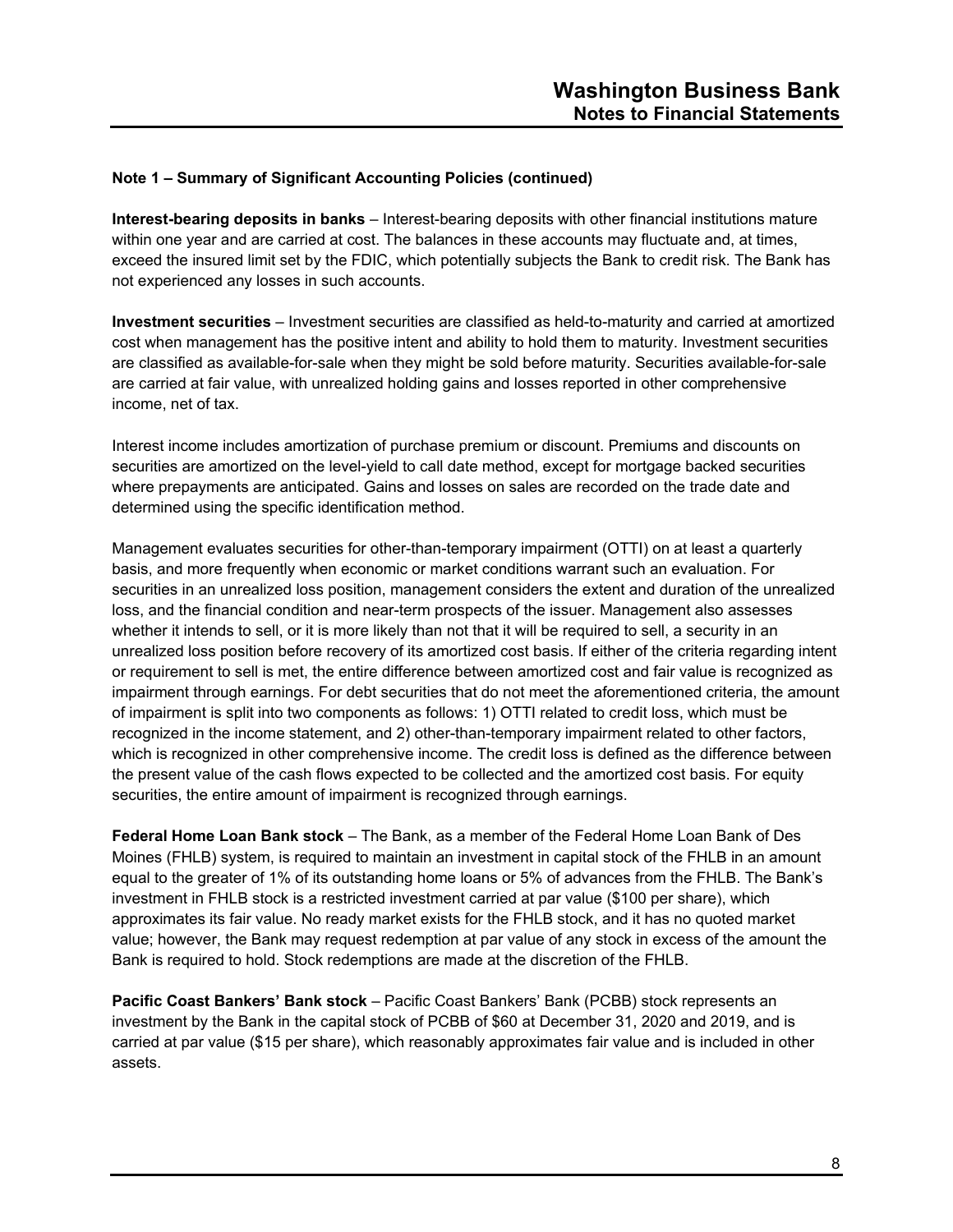**Interest-bearing deposits in banks** – Interest-bearing deposits with other financial institutions mature within one year and are carried at cost. The balances in these accounts may fluctuate and, at times, exceed the insured limit set by the FDIC, which potentially subjects the Bank to credit risk. The Bank has not experienced any losses in such accounts.

**Investment securities** – Investment securities are classified as held-to-maturity and carried at amortized cost when management has the positive intent and ability to hold them to maturity. Investment securities are classified as available-for-sale when they might be sold before maturity. Securities available-for-sale are carried at fair value, with unrealized holding gains and losses reported in other comprehensive income, net of tax.

Interest income includes amortization of purchase premium or discount. Premiums and discounts on securities are amortized on the level-yield to call date method, except for mortgage backed securities where prepayments are anticipated. Gains and losses on sales are recorded on the trade date and determined using the specific identification method.

Management evaluates securities for other-than-temporary impairment (OTTI) on at least a quarterly basis, and more frequently when economic or market conditions warrant such an evaluation. For securities in an unrealized loss position, management considers the extent and duration of the unrealized loss, and the financial condition and near-term prospects of the issuer. Management also assesses whether it intends to sell, or it is more likely than not that it will be required to sell, a security in an unrealized loss position before recovery of its amortized cost basis. If either of the criteria regarding intent or requirement to sell is met, the entire difference between amortized cost and fair value is recognized as impairment through earnings. For debt securities that do not meet the aforementioned criteria, the amount of impairment is split into two components as follows: 1) OTTI related to credit loss, which must be recognized in the income statement, and 2) other-than-temporary impairment related to other factors, which is recognized in other comprehensive income. The credit loss is defined as the difference between the present value of the cash flows expected to be collected and the amortized cost basis. For equity securities, the entire amount of impairment is recognized through earnings.

**Federal Home Loan Bank stock** – The Bank, as a member of the Federal Home Loan Bank of Des Moines (FHLB) system, is required to maintain an investment in capital stock of the FHLB in an amount equal to the greater of 1% of its outstanding home loans or 5% of advances from the FHLB. The Bank's investment in FHLB stock is a restricted investment carried at par value (\$100 per share), which approximates its fair value. No ready market exists for the FHLB stock, and it has no quoted market value; however, the Bank may request redemption at par value of any stock in excess of the amount the Bank is required to hold. Stock redemptions are made at the discretion of the FHLB.

**Pacific Coast Bankers' Bank stock** – Pacific Coast Bankers' Bank (PCBB) stock represents an investment by the Bank in the capital stock of PCBB of \$60 at December 31, 2020 and 2019, and is carried at par value (\$15 per share), which reasonably approximates fair value and is included in other assets.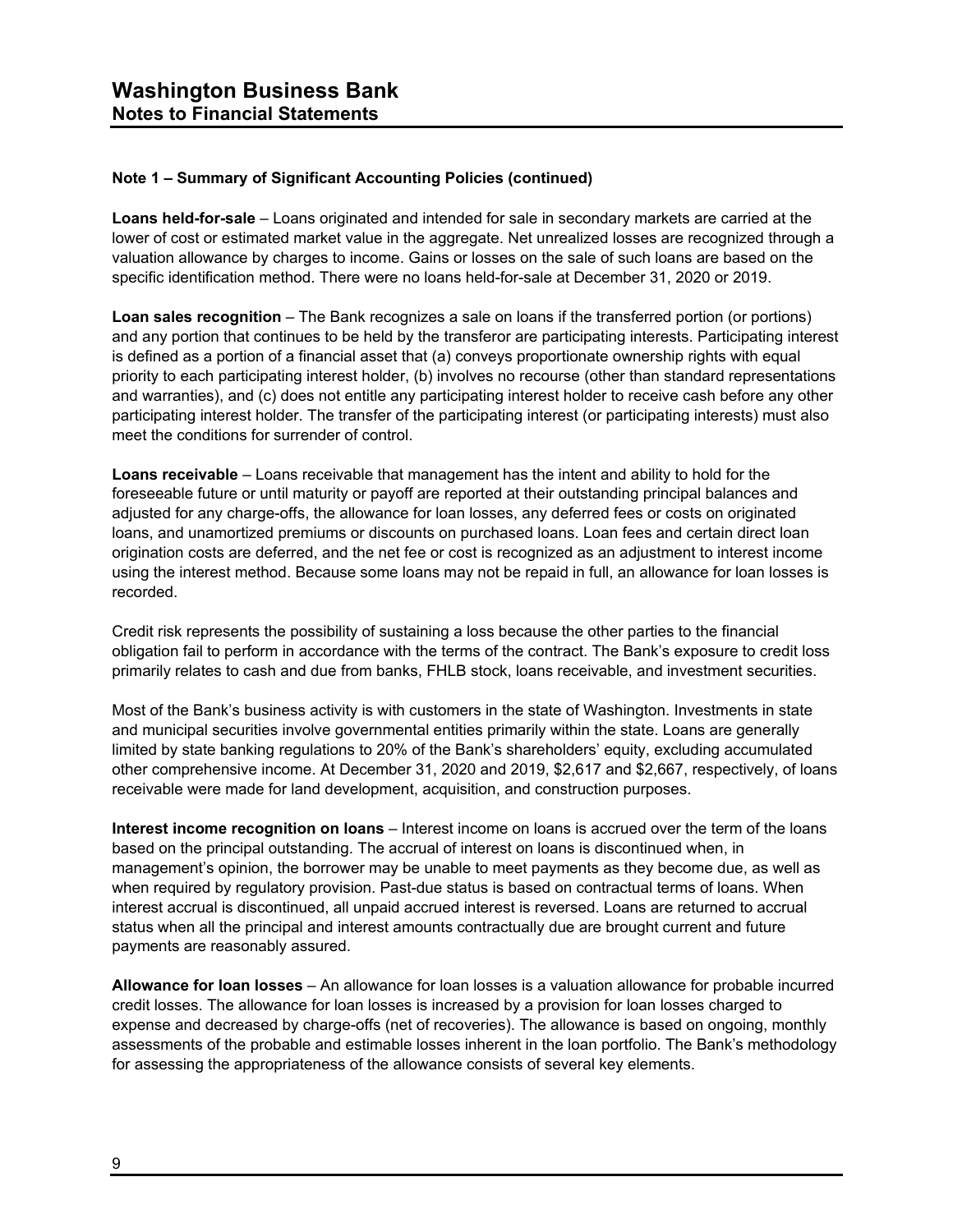**Loans held-for-sale** – Loans originated and intended for sale in secondary markets are carried at the lower of cost or estimated market value in the aggregate. Net unrealized losses are recognized through a valuation allowance by charges to income. Gains or losses on the sale of such loans are based on the specific identification method. There were no loans held-for-sale at December 31, 2020 or 2019.

**Loan sales recognition** – The Bank recognizes a sale on loans if the transferred portion (or portions) and any portion that continues to be held by the transferor are participating interests. Participating interest is defined as a portion of a financial asset that (a) conveys proportionate ownership rights with equal priority to each participating interest holder, (b) involves no recourse (other than standard representations and warranties), and (c) does not entitle any participating interest holder to receive cash before any other participating interest holder. The transfer of the participating interest (or participating interests) must also meet the conditions for surrender of control.

**Loans receivable** – Loans receivable that management has the intent and ability to hold for the foreseeable future or until maturity or payoff are reported at their outstanding principal balances and adjusted for any charge-offs, the allowance for loan losses, any deferred fees or costs on originated loans, and unamortized premiums or discounts on purchased loans. Loan fees and certain direct loan origination costs are deferred, and the net fee or cost is recognized as an adjustment to interest income using the interest method. Because some loans may not be repaid in full, an allowance for loan losses is recorded.

Credit risk represents the possibility of sustaining a loss because the other parties to the financial obligation fail to perform in accordance with the terms of the contract. The Bank's exposure to credit loss primarily relates to cash and due from banks, FHLB stock, loans receivable, and investment securities.

Most of the Bank's business activity is with customers in the state of Washington. Investments in state and municipal securities involve governmental entities primarily within the state. Loans are generally limited by state banking regulations to 20% of the Bank's shareholders' equity, excluding accumulated other comprehensive income. At December 31, 2020 and 2019, \$2,617 and \$2,667, respectively, of loans receivable were made for land development, acquisition, and construction purposes.

**Interest income recognition on loans** – Interest income on loans is accrued over the term of the loans based on the principal outstanding. The accrual of interest on loans is discontinued when, in management's opinion, the borrower may be unable to meet payments as they become due, as well as when required by regulatory provision. Past-due status is based on contractual terms of loans. When interest accrual is discontinued, all unpaid accrued interest is reversed. Loans are returned to accrual status when all the principal and interest amounts contractually due are brought current and future payments are reasonably assured.

**Allowance for loan losses** – An allowance for loan losses is a valuation allowance for probable incurred credit losses. The allowance for loan losses is increased by a provision for loan losses charged to expense and decreased by charge-offs (net of recoveries). The allowance is based on ongoing, monthly assessments of the probable and estimable losses inherent in the loan portfolio. The Bank's methodology for assessing the appropriateness of the allowance consists of several key elements.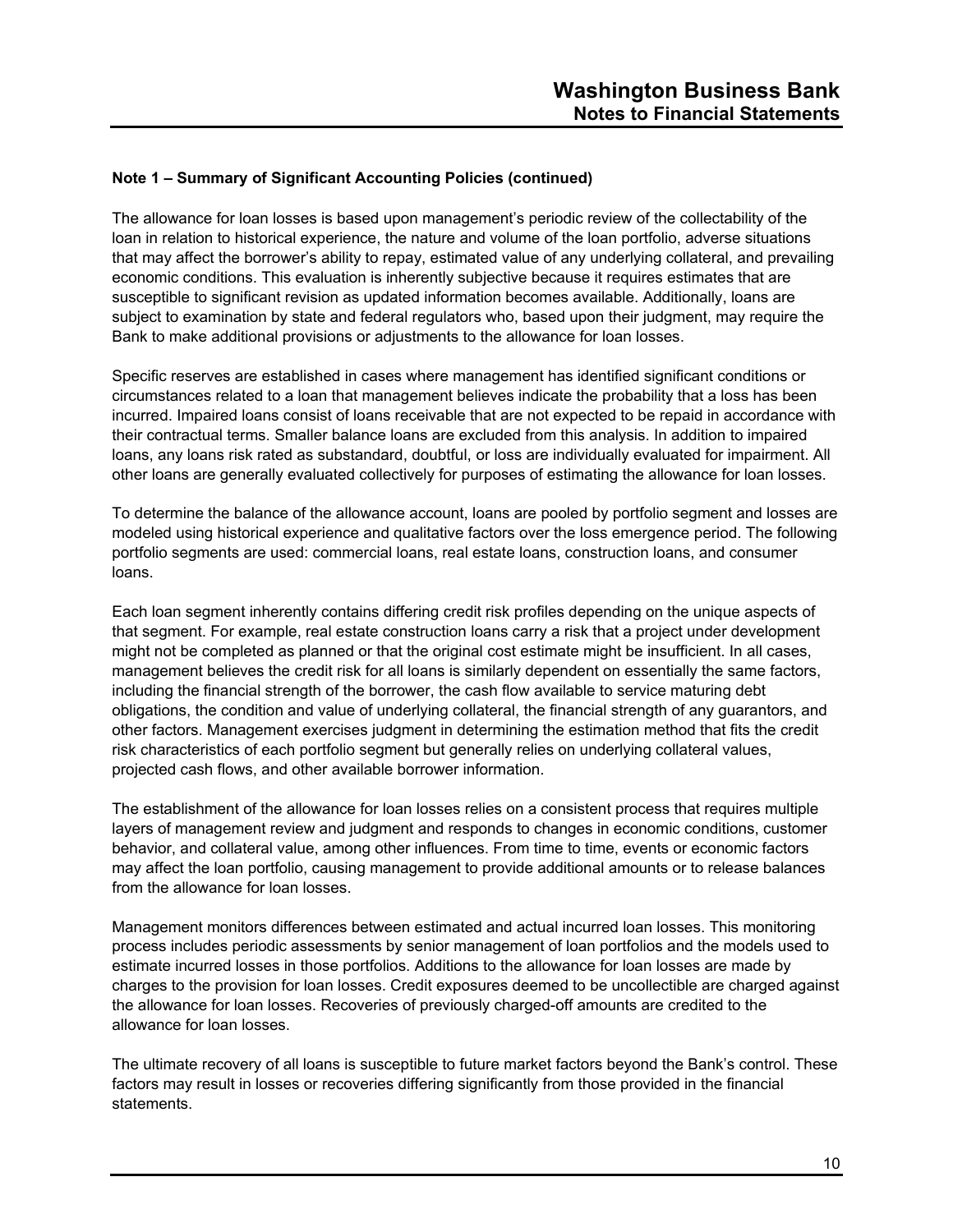The allowance for loan losses is based upon management's periodic review of the collectability of the loan in relation to historical experience, the nature and volume of the loan portfolio, adverse situations that may affect the borrower's ability to repay, estimated value of any underlying collateral, and prevailing economic conditions. This evaluation is inherently subjective because it requires estimates that are susceptible to significant revision as updated information becomes available. Additionally, loans are subject to examination by state and federal regulators who, based upon their judgment, may require the Bank to make additional provisions or adjustments to the allowance for loan losses.

Specific reserves are established in cases where management has identified significant conditions or circumstances related to a loan that management believes indicate the probability that a loss has been incurred. Impaired loans consist of loans receivable that are not expected to be repaid in accordance with their contractual terms. Smaller balance loans are excluded from this analysis. In addition to impaired loans, any loans risk rated as substandard, doubtful, or loss are individually evaluated for impairment. All other loans are generally evaluated collectively for purposes of estimating the allowance for loan losses.

To determine the balance of the allowance account, loans are pooled by portfolio segment and losses are modeled using historical experience and qualitative factors over the loss emergence period. The following portfolio segments are used: commercial loans, real estate loans, construction loans, and consumer loans.

Each loan segment inherently contains differing credit risk profiles depending on the unique aspects of that segment. For example, real estate construction loans carry a risk that a project under development might not be completed as planned or that the original cost estimate might be insufficient. In all cases, management believes the credit risk for all loans is similarly dependent on essentially the same factors, including the financial strength of the borrower, the cash flow available to service maturing debt obligations, the condition and value of underlying collateral, the financial strength of any guarantors, and other factors. Management exercises judgment in determining the estimation method that fits the credit risk characteristics of each portfolio segment but generally relies on underlying collateral values, projected cash flows, and other available borrower information.

The establishment of the allowance for loan losses relies on a consistent process that requires multiple layers of management review and judgment and responds to changes in economic conditions, customer behavior, and collateral value, among other influences. From time to time, events or economic factors may affect the loan portfolio, causing management to provide additional amounts or to release balances from the allowance for loan losses.

Management monitors differences between estimated and actual incurred loan losses. This monitoring process includes periodic assessments by senior management of loan portfolios and the models used to estimate incurred losses in those portfolios. Additions to the allowance for loan losses are made by charges to the provision for loan losses. Credit exposures deemed to be uncollectible are charged against the allowance for loan losses. Recoveries of previously charged-off amounts are credited to the allowance for loan losses.

The ultimate recovery of all loans is susceptible to future market factors beyond the Bank's control. These factors may result in losses or recoveries differing significantly from those provided in the financial statements.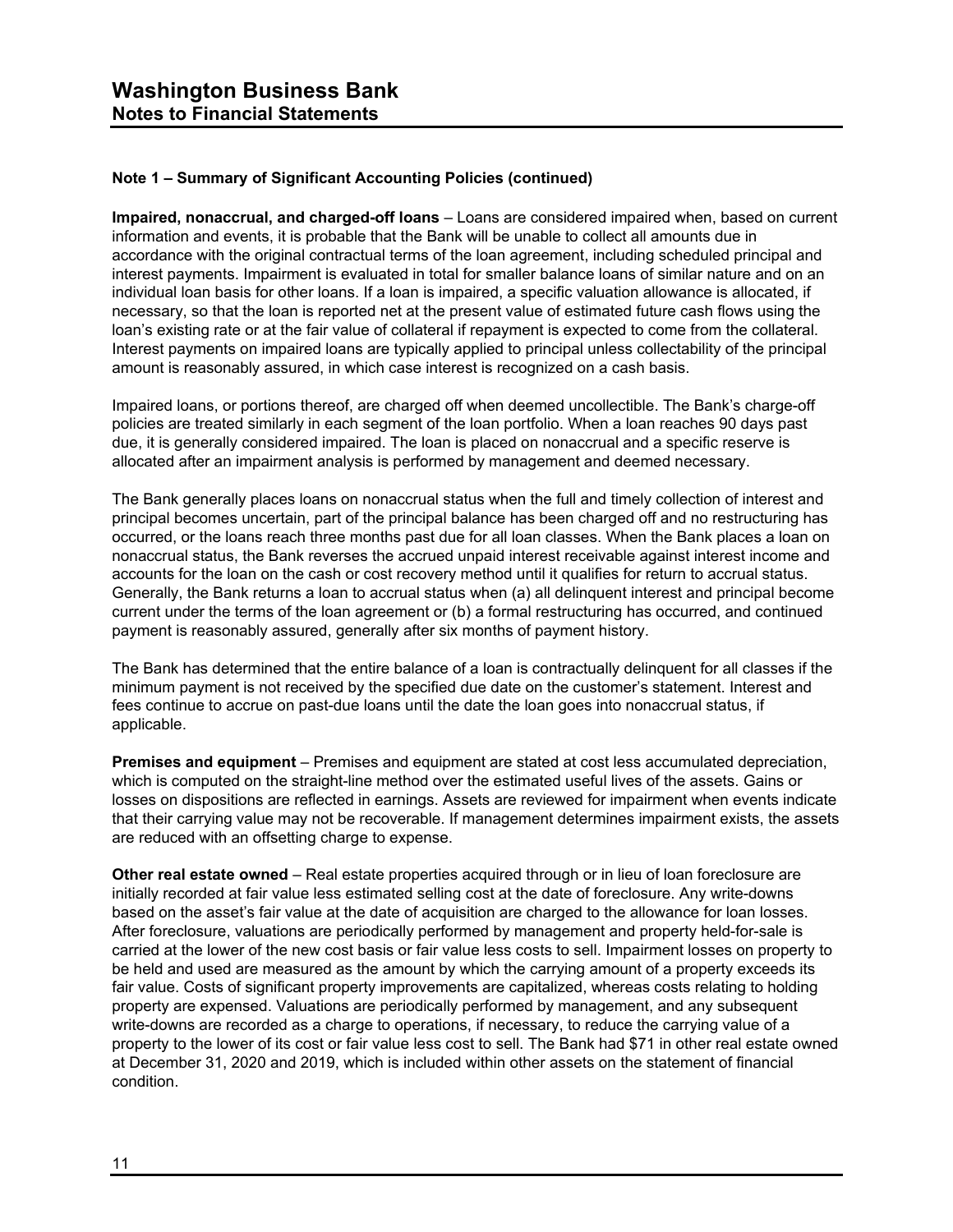**Impaired, nonaccrual, and charged-off loans** – Loans are considered impaired when, based on current information and events, it is probable that the Bank will be unable to collect all amounts due in accordance with the original contractual terms of the loan agreement, including scheduled principal and interest payments. Impairment is evaluated in total for smaller balance loans of similar nature and on an individual loan basis for other loans. If a loan is impaired, a specific valuation allowance is allocated, if necessary, so that the loan is reported net at the present value of estimated future cash flows using the loan's existing rate or at the fair value of collateral if repayment is expected to come from the collateral. Interest payments on impaired loans are typically applied to principal unless collectability of the principal amount is reasonably assured, in which case interest is recognized on a cash basis.

Impaired loans, or portions thereof, are charged off when deemed uncollectible. The Bank's charge-off policies are treated similarly in each segment of the loan portfolio. When a loan reaches 90 days past due, it is generally considered impaired. The loan is placed on nonaccrual and a specific reserve is allocated after an impairment analysis is performed by management and deemed necessary.

The Bank generally places loans on nonaccrual status when the full and timely collection of interest and principal becomes uncertain, part of the principal balance has been charged off and no restructuring has occurred, or the loans reach three months past due for all loan classes. When the Bank places a loan on nonaccrual status, the Bank reverses the accrued unpaid interest receivable against interest income and accounts for the loan on the cash or cost recovery method until it qualifies for return to accrual status. Generally, the Bank returns a loan to accrual status when (a) all delinquent interest and principal become current under the terms of the loan agreement or (b) a formal restructuring has occurred, and continued payment is reasonably assured, generally after six months of payment history.

The Bank has determined that the entire balance of a loan is contractually delinquent for all classes if the minimum payment is not received by the specified due date on the customer's statement. Interest and fees continue to accrue on past-due loans until the date the loan goes into nonaccrual status, if applicable.

**Premises and equipment** – Premises and equipment are stated at cost less accumulated depreciation, which is computed on the straight-line method over the estimated useful lives of the assets. Gains or losses on dispositions are reflected in earnings. Assets are reviewed for impairment when events indicate that their carrying value may not be recoverable. If management determines impairment exists, the assets are reduced with an offsetting charge to expense.

**Other real estate owned** – Real estate properties acquired through or in lieu of loan foreclosure are initially recorded at fair value less estimated selling cost at the date of foreclosure. Any write-downs based on the asset's fair value at the date of acquisition are charged to the allowance for loan losses. After foreclosure, valuations are periodically performed by management and property held-for-sale is carried at the lower of the new cost basis or fair value less costs to sell. Impairment losses on property to be held and used are measured as the amount by which the carrying amount of a property exceeds its fair value. Costs of significant property improvements are capitalized, whereas costs relating to holding property are expensed. Valuations are periodically performed by management, and any subsequent write-downs are recorded as a charge to operations, if necessary, to reduce the carrying value of a property to the lower of its cost or fair value less cost to sell. The Bank had \$71 in other real estate owned at December 31, 2020 and 2019, which is included within other assets on the statement of financial condition.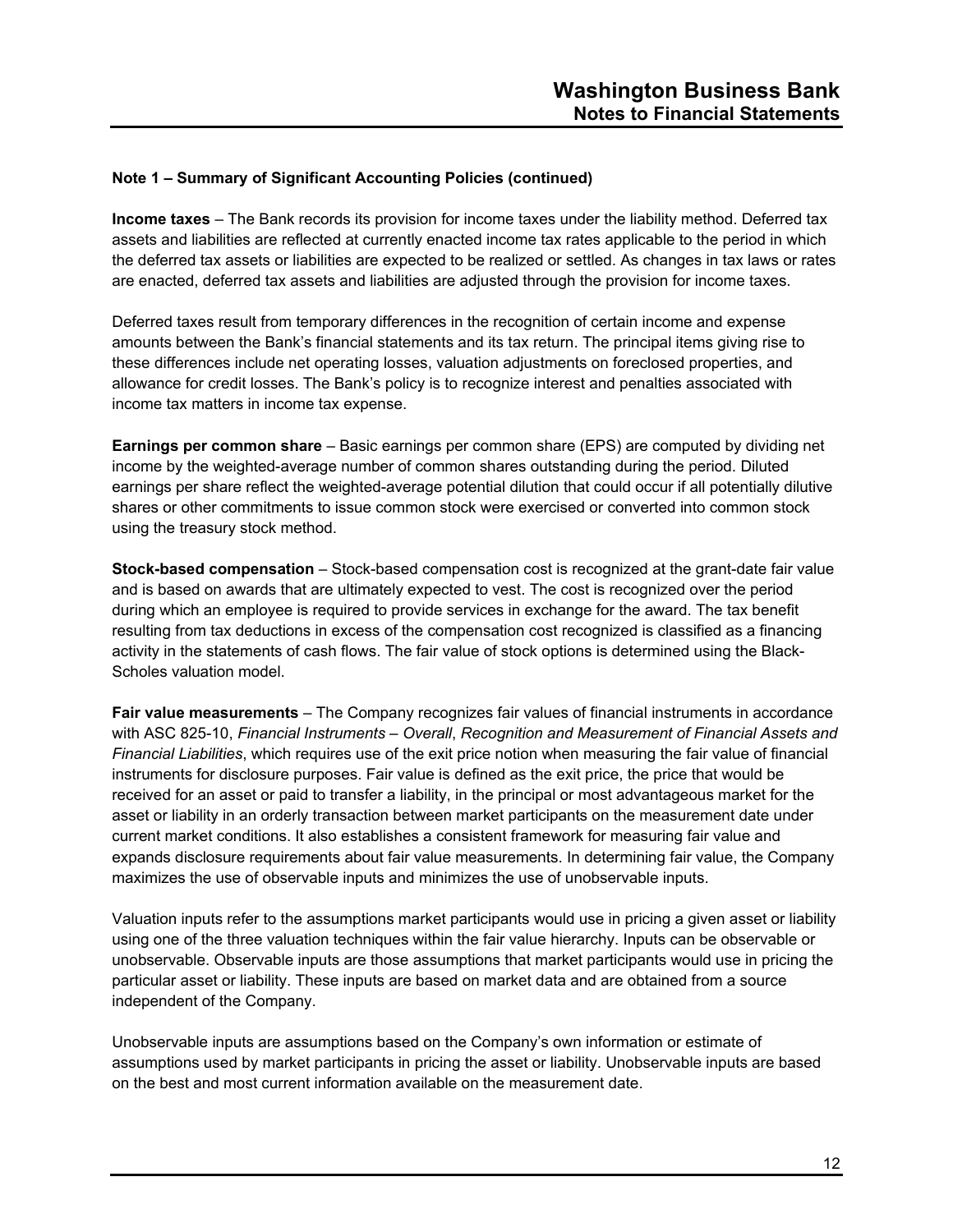**Income taxes** – The Bank records its provision for income taxes under the liability method. Deferred tax assets and liabilities are reflected at currently enacted income tax rates applicable to the period in which the deferred tax assets or liabilities are expected to be realized or settled. As changes in tax laws or rates are enacted, deferred tax assets and liabilities are adjusted through the provision for income taxes.

Deferred taxes result from temporary differences in the recognition of certain income and expense amounts between the Bank's financial statements and its tax return. The principal items giving rise to these differences include net operating losses, valuation adjustments on foreclosed properties, and allowance for credit losses. The Bank's policy is to recognize interest and penalties associated with income tax matters in income tax expense.

**Earnings per common share** – Basic earnings per common share (EPS) are computed by dividing net income by the weighted-average number of common shares outstanding during the period. Diluted earnings per share reflect the weighted-average potential dilution that could occur if all potentially dilutive shares or other commitments to issue common stock were exercised or converted into common stock using the treasury stock method.

**Stock-based compensation** – Stock-based compensation cost is recognized at the grant-date fair value and is based on awards that are ultimately expected to vest. The cost is recognized over the period during which an employee is required to provide services in exchange for the award. The tax benefit resulting from tax deductions in excess of the compensation cost recognized is classified as a financing activity in the statements of cash flows. The fair value of stock options is determined using the Black-Scholes valuation model.

**Fair value measurements** – The Company recognizes fair values of financial instruments in accordance with ASC 825-10, *Financial Instruments – Overall*, *Recognition and Measurement of Financial Assets and Financial Liabilities*, which requires use of the exit price notion when measuring the fair value of financial instruments for disclosure purposes. Fair value is defined as the exit price, the price that would be received for an asset or paid to transfer a liability, in the principal or most advantageous market for the asset or liability in an orderly transaction between market participants on the measurement date under current market conditions. It also establishes a consistent framework for measuring fair value and expands disclosure requirements about fair value measurements. In determining fair value, the Company maximizes the use of observable inputs and minimizes the use of unobservable inputs.

Valuation inputs refer to the assumptions market participants would use in pricing a given asset or liability using one of the three valuation techniques within the fair value hierarchy. Inputs can be observable or unobservable. Observable inputs are those assumptions that market participants would use in pricing the particular asset or liability. These inputs are based on market data and are obtained from a source independent of the Company.

Unobservable inputs are assumptions based on the Company's own information or estimate of assumptions used by market participants in pricing the asset or liability. Unobservable inputs are based on the best and most current information available on the measurement date.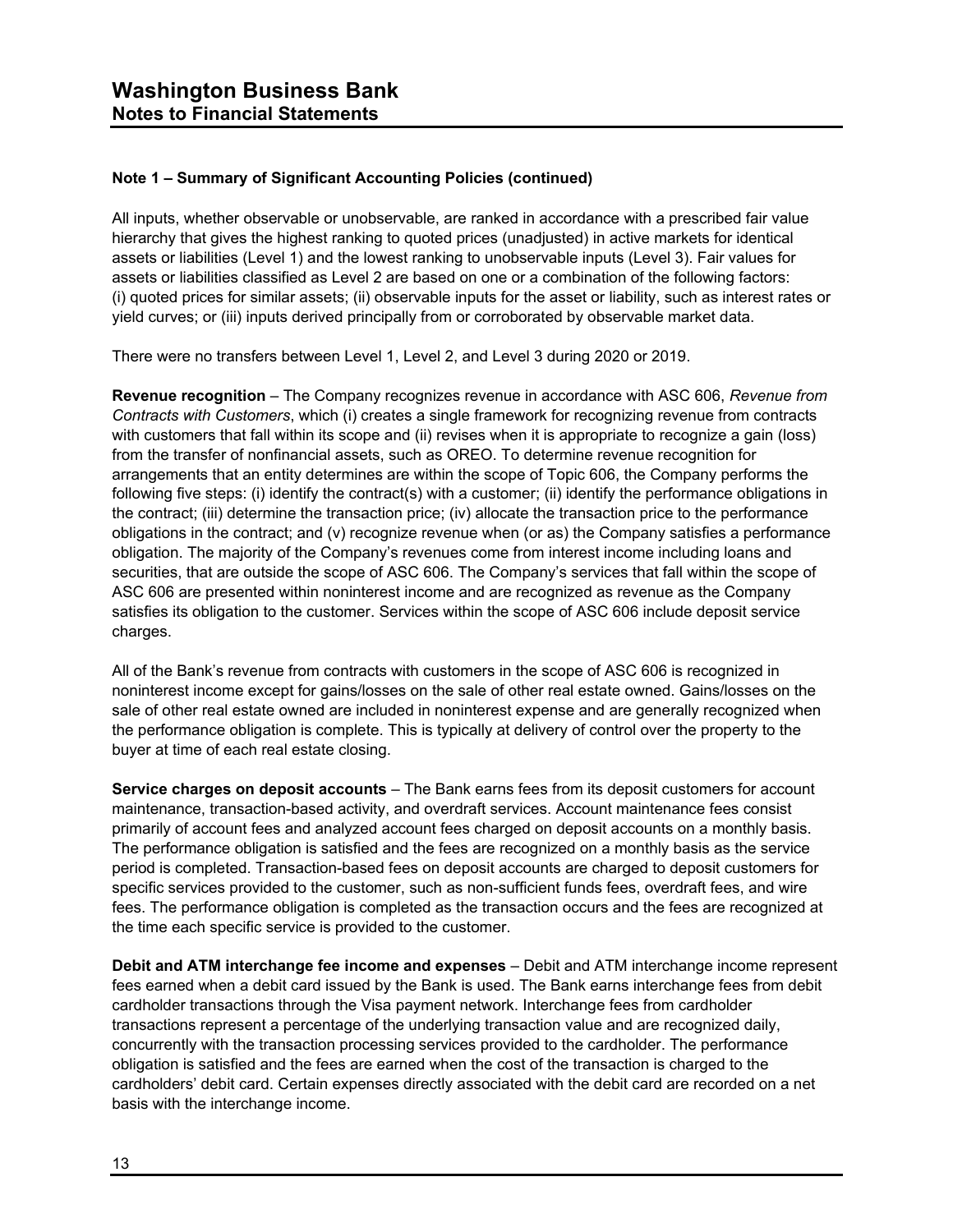All inputs, whether observable or unobservable, are ranked in accordance with a prescribed fair value hierarchy that gives the highest ranking to quoted prices (unadjusted) in active markets for identical assets or liabilities (Level 1) and the lowest ranking to unobservable inputs (Level 3). Fair values for assets or liabilities classified as Level 2 are based on one or a combination of the following factors: (i) quoted prices for similar assets; (ii) observable inputs for the asset or liability, such as interest rates or yield curves; or (iii) inputs derived principally from or corroborated by observable market data.

There were no transfers between Level 1, Level 2, and Level 3 during 2020 or 2019.

**Revenue recognition** – The Company recognizes revenue in accordance with ASC 606, *Revenue from Contracts with Customers*, which (i) creates a single framework for recognizing revenue from contracts with customers that fall within its scope and (ii) revises when it is appropriate to recognize a gain (loss) from the transfer of nonfinancial assets, such as OREO. To determine revenue recognition for arrangements that an entity determines are within the scope of Topic 606, the Company performs the following five steps: (i) identify the contract(s) with a customer; (ii) identify the performance obligations in the contract; (iii) determine the transaction price; (iv) allocate the transaction price to the performance obligations in the contract; and (v) recognize revenue when (or as) the Company satisfies a performance obligation. The majority of the Company's revenues come from interest income including loans and securities, that are outside the scope of ASC 606. The Company's services that fall within the scope of ASC 606 are presented within noninterest income and are recognized as revenue as the Company satisfies its obligation to the customer. Services within the scope of ASC 606 include deposit service charges.

All of the Bank's revenue from contracts with customers in the scope of ASC 606 is recognized in noninterest income except for gains/losses on the sale of other real estate owned. Gains/losses on the sale of other real estate owned are included in noninterest expense and are generally recognized when the performance obligation is complete. This is typically at delivery of control over the property to the buyer at time of each real estate closing.

**Service charges on deposit accounts** – The Bank earns fees from its deposit customers for account maintenance, transaction-based activity, and overdraft services. Account maintenance fees consist primarily of account fees and analyzed account fees charged on deposit accounts on a monthly basis. The performance obligation is satisfied and the fees are recognized on a monthly basis as the service period is completed. Transaction-based fees on deposit accounts are charged to deposit customers for specific services provided to the customer, such as non-sufficient funds fees, overdraft fees, and wire fees. The performance obligation is completed as the transaction occurs and the fees are recognized at the time each specific service is provided to the customer.

**Debit and ATM interchange fee income and expenses** – Debit and ATM interchange income represent fees earned when a debit card issued by the Bank is used. The Bank earns interchange fees from debit cardholder transactions through the Visa payment network. Interchange fees from cardholder transactions represent a percentage of the underlying transaction value and are recognized daily, concurrently with the transaction processing services provided to the cardholder. The performance obligation is satisfied and the fees are earned when the cost of the transaction is charged to the cardholders' debit card. Certain expenses directly associated with the debit card are recorded on a net basis with the interchange income.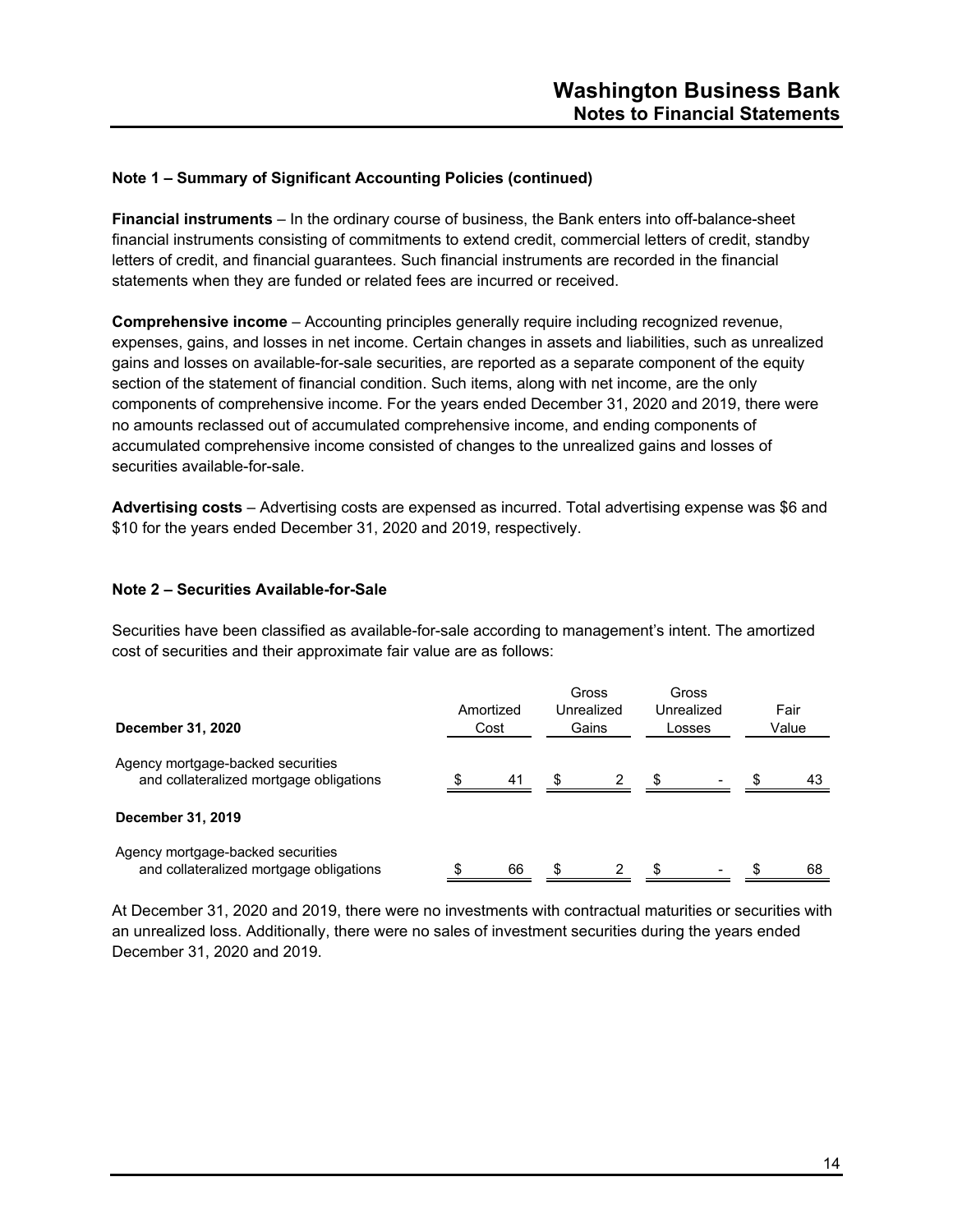**Financial instruments** – In the ordinary course of business, the Bank enters into off-balance-sheet financial instruments consisting of commitments to extend credit, commercial letters of credit, standby letters of credit, and financial guarantees. Such financial instruments are recorded in the financial statements when they are funded or related fees are incurred or received.

**Comprehensive income** – Accounting principles generally require including recognized revenue, expenses, gains, and losses in net income. Certain changes in assets and liabilities, such as unrealized gains and losses on available-for-sale securities, are reported as a separate component of the equity section of the statement of financial condition. Such items, along with net income, are the only components of comprehensive income. For the years ended December 31, 2020 and 2019, there were no amounts reclassed out of accumulated comprehensive income, and ending components of accumulated comprehensive income consisted of changes to the unrealized gains and losses of securities available-for-sale.

**Advertising costs** – Advertising costs are expensed as incurred. Total advertising expense was \$6 and \$10 for the years ended December 31, 2020 and 2019, respectively.

#### **Note 2 – Securities Available-for-Sale**

Securities have been classified as available-for-sale according to management's intent. The amortized cost of securities and their approximate fair value are as follows:

| December 31, 2020                                                            | Amortized<br>Cost |    | Gross<br>Unrealized<br>Gains |   | Gross<br>Unrealized<br>Losses |                          | Fair<br>Value |    |
|------------------------------------------------------------------------------|-------------------|----|------------------------------|---|-------------------------------|--------------------------|---------------|----|
| Agency mortgage-backed securities<br>and collateralized mortgage obligations |                   | 41 | \$                           | 2 | -\$                           | $\overline{\phantom{0}}$ | -S            | 43 |
| December 31, 2019                                                            |                   |    |                              |   |                               |                          |               |    |
| Agency mortgage-backed securities<br>and collateralized mortgage obligations |                   | 66 | \$                           | 2 |                               |                          |               | 68 |

At December 31, 2020 and 2019, there were no investments with contractual maturities or securities with an unrealized loss. Additionally, there were no sales of investment securities during the years ended December 31, 2020 and 2019.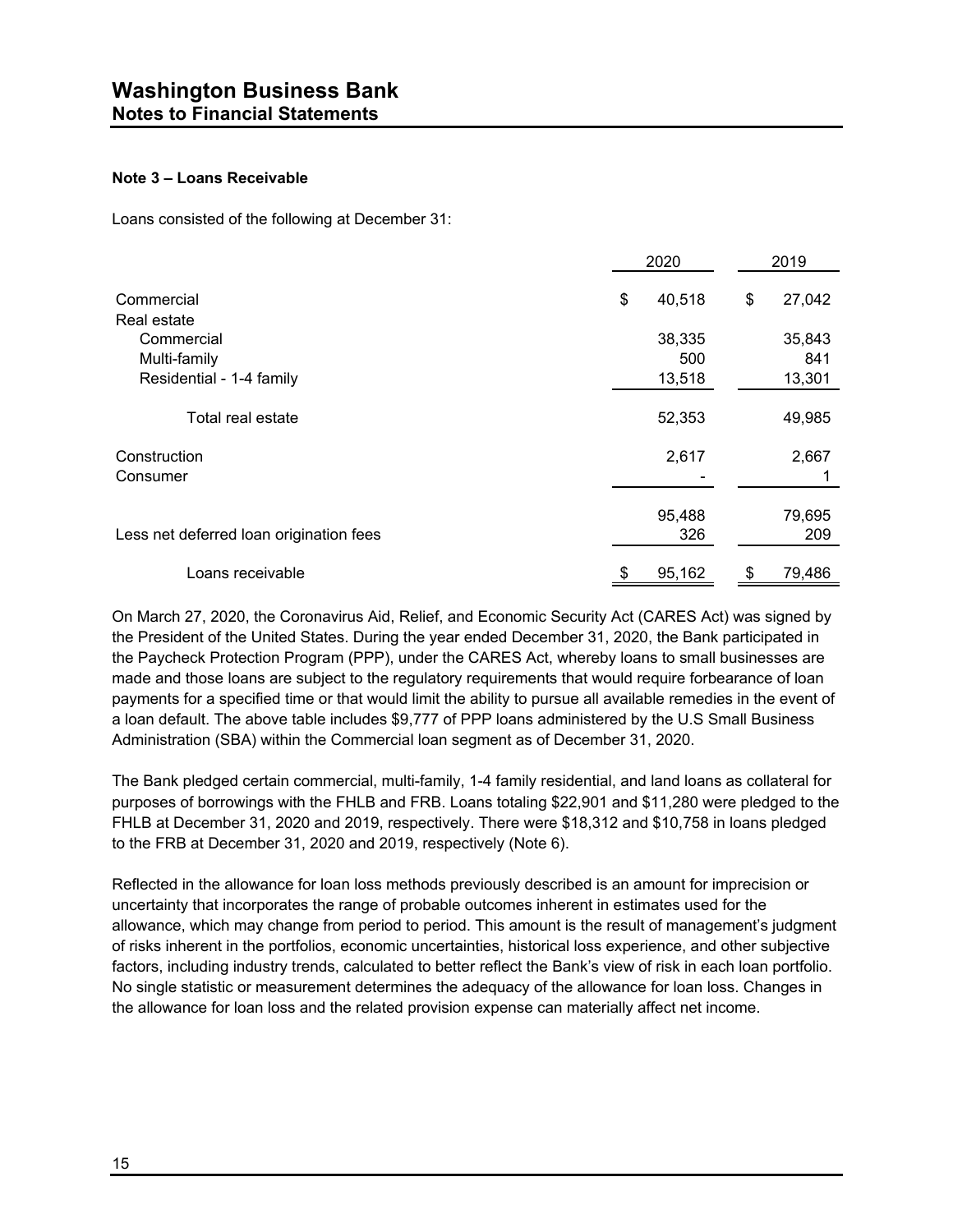#### **Note 3 – Loans Receivable**

Loans consisted of the following at December 31:

|                                         | 2020         | 2019         |
|-----------------------------------------|--------------|--------------|
| Commercial                              | \$<br>40,518 | \$<br>27,042 |
| Real estate                             |              |              |
| Commercial                              | 38,335       | 35,843       |
| Multi-family                            | 500          | 841          |
| Residential - 1-4 family                | 13,518       | 13,301       |
| Total real estate                       | 52,353       | 49,985       |
| Construction                            | 2,617        | 2,667        |
| Consumer                                |              |              |
|                                         | 95,488       | 79,695       |
| Less net deferred loan origination fees | 326          | 209          |
| Loans receivable                        | 95,162       | 79,486       |

On March 27, 2020, the Coronavirus Aid, Relief, and Economic Security Act (CARES Act) was signed by the President of the United States. During the year ended December 31, 2020, the Bank participated in the Paycheck Protection Program (PPP), under the CARES Act, whereby loans to small businesses are made and those loans are subject to the regulatory requirements that would require forbearance of loan payments for a specified time or that would limit the ability to pursue all available remedies in the event of a loan default. The above table includes \$9,777 of PPP loans administered by the U.S Small Business Administration (SBA) within the Commercial loan segment as of December 31, 2020.

The Bank pledged certain commercial, multi-family, 1-4 family residential, and land loans as collateral for purposes of borrowings with the FHLB and FRB. Loans totaling \$22,901 and \$11,280 were pledged to the FHLB at December 31, 2020 and 2019, respectively. There were \$18,312 and \$10,758 in loans pledged to the FRB at December 31, 2020 and 2019, respectively (Note 6).

Reflected in the allowance for loan loss methods previously described is an amount for imprecision or uncertainty that incorporates the range of probable outcomes inherent in estimates used for the allowance, which may change from period to period. This amount is the result of management's judgment of risks inherent in the portfolios, economic uncertainties, historical loss experience, and other subjective factors, including industry trends, calculated to better reflect the Bank's view of risk in each loan portfolio. No single statistic or measurement determines the adequacy of the allowance for loan loss. Changes in the allowance for loan loss and the related provision expense can materially affect net income.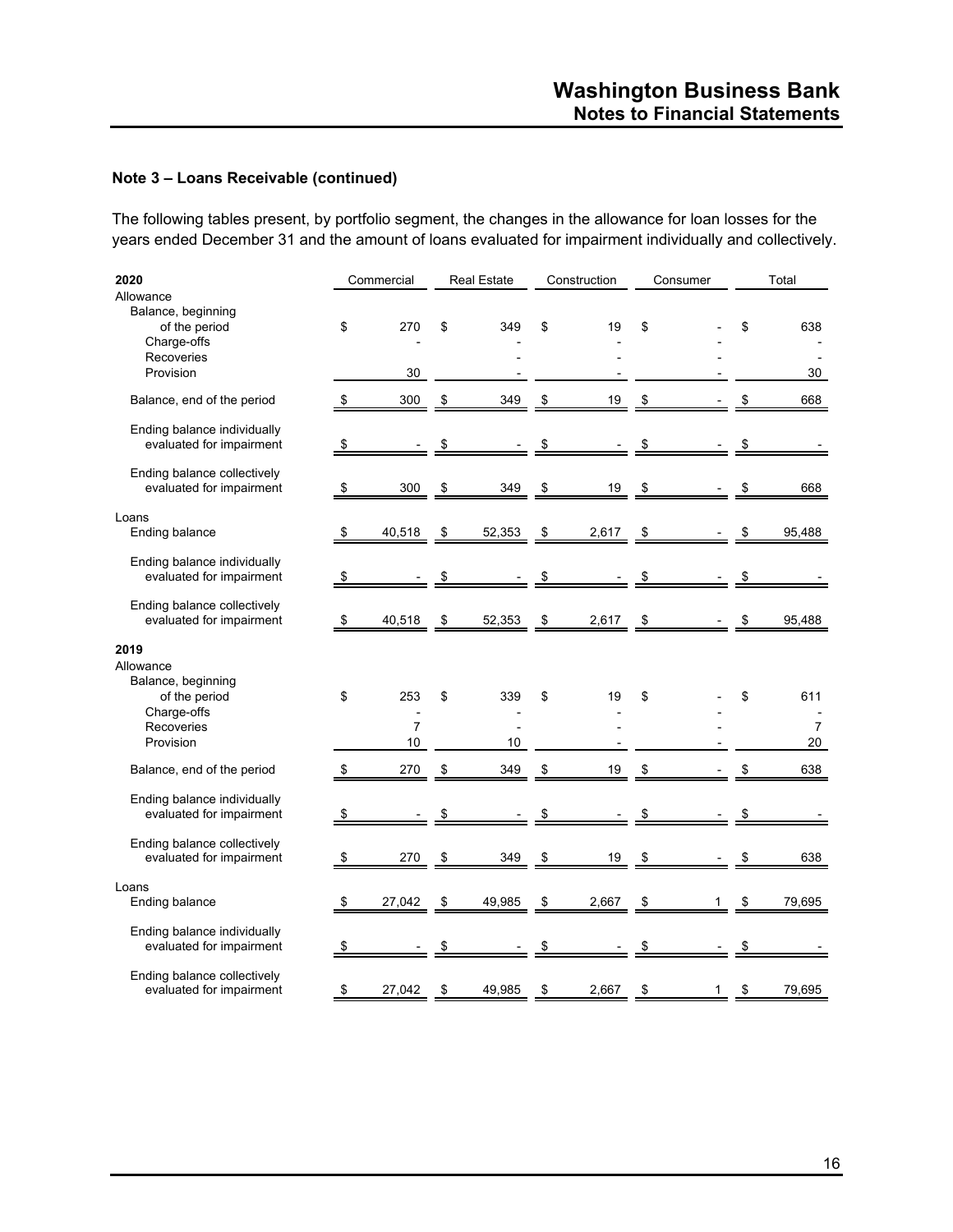The following tables present, by portfolio segment, the changes in the allowance for loan losses for the years ended December 31 and the amount of loans evaluated for impairment individually and collectively.

| 2020                                                                                       | Commercial           |    | <b>Real Estate</b> |               | Construction | Consumer      |               | Total     |
|--------------------------------------------------------------------------------------------|----------------------|----|--------------------|---------------|--------------|---------------|---------------|-----------|
| Allowance<br>Balance, beginning<br>of the period<br>Charge-offs<br>Recoveries<br>Provision | \$<br>270<br>30      | \$ | 349                | \$            | 19           | \$            | \$            | 638<br>30 |
| Balance, end of the period                                                                 | \$<br>300            | \$ | 349                | \$            | 19           | \$            | \$            | 668       |
| Ending balance individually<br>evaluated for impairment                                    | \$                   | S  |                    | \$            |              | \$            | \$            |           |
| Ending balance collectively<br>evaluated for impairment                                    | \$<br>300            | \$ | 349                | \$            | 19           | \$            | \$            | 668       |
| Loans<br>Ending balance                                                                    | \$<br>40,518         | \$ | 52,353             | \$            | 2,617        | \$            | \$            | 95,488    |
| Ending balance individually<br>evaluated for impairment                                    | \$                   | S  |                    | \$            |              | \$            | \$            |           |
| Ending balance collectively<br>evaluated for impairment                                    | \$<br>40,518         | \$ | 52,353             | $\frac{1}{2}$ | 2,617        | $\frac{1}{2}$ | \$            | 95,488    |
| 2019<br>Allowance<br>Balance, beginning<br>of the period                                   | \$<br>253            | \$ | 339                | \$            | 19           | \$            | \$            | 611       |
| Charge-offs<br>Recoveries<br>Provision                                                     | $\overline{7}$<br>10 |    | 10                 |               |              |               |               | 7<br>20   |
| Balance, end of the period                                                                 | \$<br>270            | \$ | 349                | \$            | 19           | \$            | \$            | 638       |
| Ending balance individually<br>evaluated for impairment                                    | \$                   | \$ |                    | \$            |              | \$            | \$            |           |
| Ending balance collectively<br>evaluated for impairment                                    | \$<br>270            | \$ | 349                | \$            | 19           | \$            | \$            | 638       |
| Loans<br>Ending balance                                                                    | \$<br>27,042         | \$ | 49,985             | \$            | 2,667        | \$<br>1       | \$            | 79,695    |
| Ending balance individually<br>evaluated for impairment                                    | \$                   | \$ |                    | \$            |              | \$            | \$            |           |
| Ending balance collectively<br>evaluated for impairment                                    | \$<br>27,042         | \$ | 49,985             | \$            | 2,667        | \$<br>1       | $\frac{1}{2}$ | 79,695    |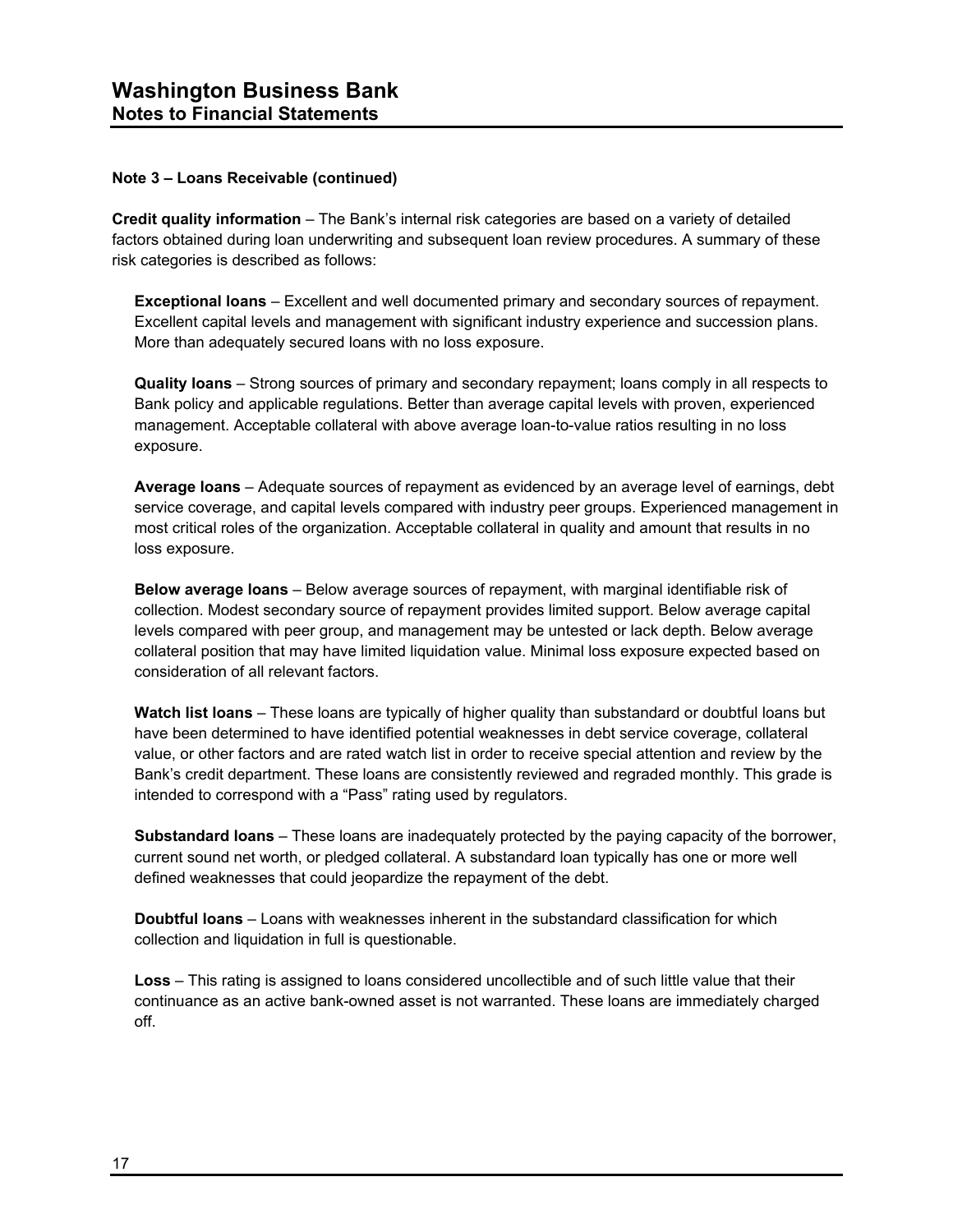**Credit quality information** – The Bank's internal risk categories are based on a variety of detailed factors obtained during loan underwriting and subsequent loan review procedures. A summary of these risk categories is described as follows:

**Exceptional loans** – Excellent and well documented primary and secondary sources of repayment. Excellent capital levels and management with significant industry experience and succession plans. More than adequately secured loans with no loss exposure.

**Quality loans** – Strong sources of primary and secondary repayment; loans comply in all respects to Bank policy and applicable regulations. Better than average capital levels with proven, experienced management. Acceptable collateral with above average loan-to-value ratios resulting in no loss exposure.

**Average loans** – Adequate sources of repayment as evidenced by an average level of earnings, debt service coverage, and capital levels compared with industry peer groups. Experienced management in most critical roles of the organization. Acceptable collateral in quality and amount that results in no loss exposure.

**Below average loans** – Below average sources of repayment, with marginal identifiable risk of collection. Modest secondary source of repayment provides limited support. Below average capital levels compared with peer group, and management may be untested or lack depth. Below average collateral position that may have limited liquidation value. Minimal loss exposure expected based on consideration of all relevant factors.

**Watch list loans** – These loans are typically of higher quality than substandard or doubtful loans but have been determined to have identified potential weaknesses in debt service coverage, collateral value, or other factors and are rated watch list in order to receive special attention and review by the Bank's credit department. These loans are consistently reviewed and regraded monthly. This grade is intended to correspond with a "Pass" rating used by regulators.

**Substandard loans** – These loans are inadequately protected by the paying capacity of the borrower, current sound net worth, or pledged collateral. A substandard loan typically has one or more well defined weaknesses that could jeopardize the repayment of the debt.

**Doubtful loans** – Loans with weaknesses inherent in the substandard classification for which collection and liquidation in full is questionable.

**Loss** – This rating is assigned to loans considered uncollectible and of such little value that their continuance as an active bank-owned asset is not warranted. These loans are immediately charged off.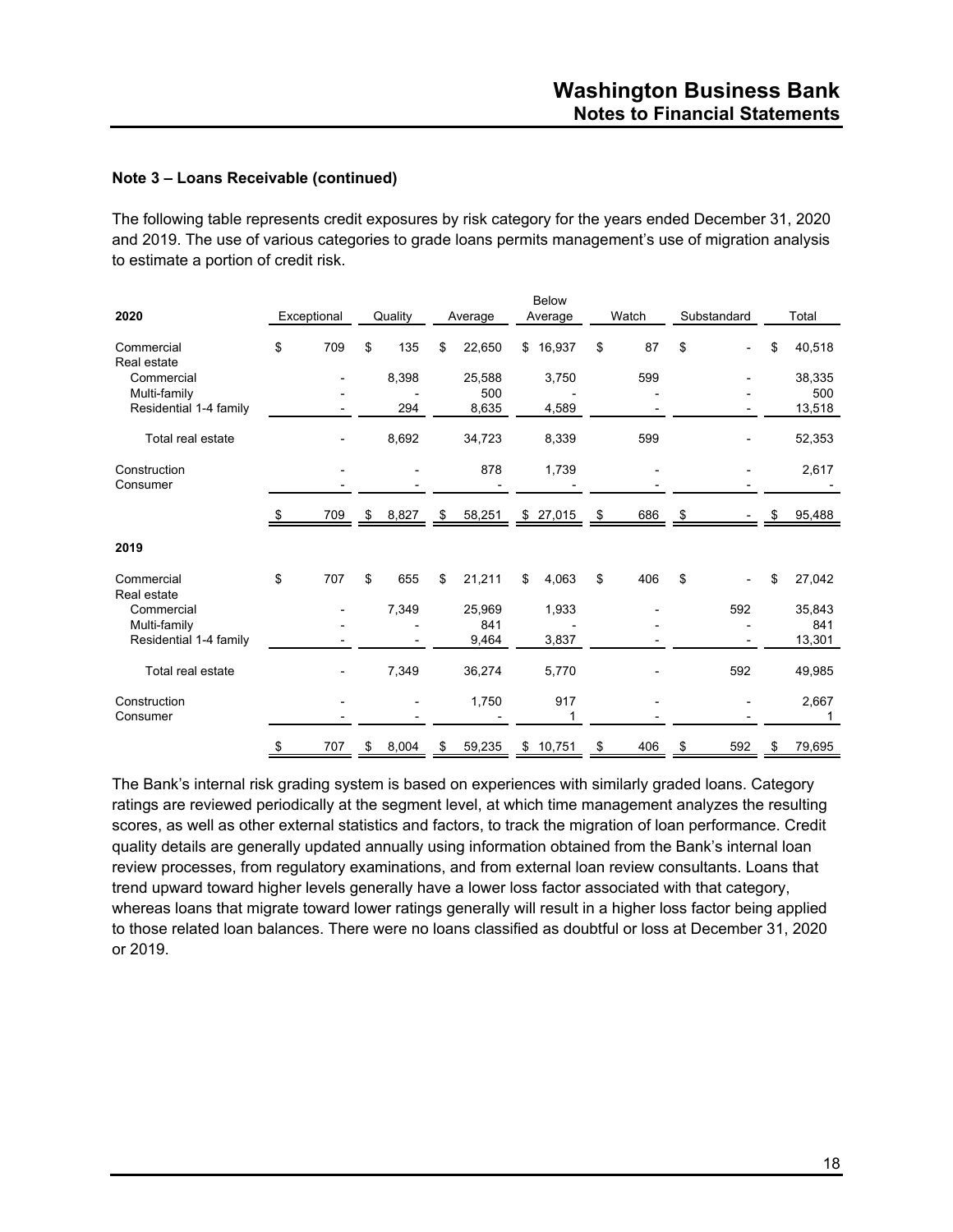The following table represents credit exposures by risk category for the years ended December 31, 2020 and 2019. The use of various categories to grade loans permits management's use of migration analysis to estimate a portion of credit risk.

| 2020                       |      | Exceptional |               | Quality | Average       | <b>Below</b><br>Average | Watch     | Substandard |    | Total         |
|----------------------------|------|-------------|---------------|---------|---------------|-------------------------|-----------|-------------|----|---------------|
| Commercial<br>Real estate  | \$   | 709         | \$            | 135     | \$<br>22,650  | \$<br>16,937            | \$<br>87  | \$          | \$ | 40,518        |
| Commercial<br>Multi-family |      |             |               | 8,398   | 25,588<br>500 | 3,750                   | 599       |             |    | 38,335<br>500 |
| Residential 1-4 family     |      |             |               | 294     | 8,635         | 4,589                   |           |             |    | 13,518        |
| Total real estate          |      |             |               | 8,692   | 34,723        | 8,339                   | 599       |             |    | 52,353        |
| Construction<br>Consumer   |      |             |               |         | 878           | 1,739                   |           |             |    | 2,617         |
|                            | - \$ | 709         | $\frac{\$}{}$ | 8,827   | \$<br>58,251  | \$27,015                | \$<br>686 | \$          | æ. | 95,488        |
| 2019                       |      |             |               |         |               |                         |           |             |    |               |
| Commercial<br>Real estate  | \$   | 707         | \$            | 655     | \$<br>21,211  | \$<br>4,063             | \$<br>406 | \$          | \$ | 27,042        |
| Commercial<br>Multi-family |      |             |               | 7,349   | 25,969<br>841 | 1,933                   |           | 592         |    | 35,843<br>841 |
| Residential 1-4 family     |      |             |               |         | 9,464         | 3,837                   |           |             |    | 13,301        |
| Total real estate          |      |             |               | 7,349   | 36,274        | 5,770                   |           | 592         |    | 49,985        |
| Construction<br>Consumer   |      |             |               |         | 1,750         | 917                     |           |             |    | 2,667<br>1    |
|                            | \$   | 707         | \$            | 8,004   | \$<br>59,235  | \$<br>10,751            | \$<br>406 | \$<br>592   | \$ | 79,695        |

The Bank's internal risk grading system is based on experiences with similarly graded loans. Category ratings are reviewed periodically at the segment level, at which time management analyzes the resulting scores, as well as other external statistics and factors, to track the migration of loan performance. Credit quality details are generally updated annually using information obtained from the Bank's internal loan review processes, from regulatory examinations, and from external loan review consultants. Loans that trend upward toward higher levels generally have a lower loss factor associated with that category, whereas loans that migrate toward lower ratings generally will result in a higher loss factor being applied to those related loan balances. There were no loans classified as doubtful or loss at December 31, 2020 or 2019.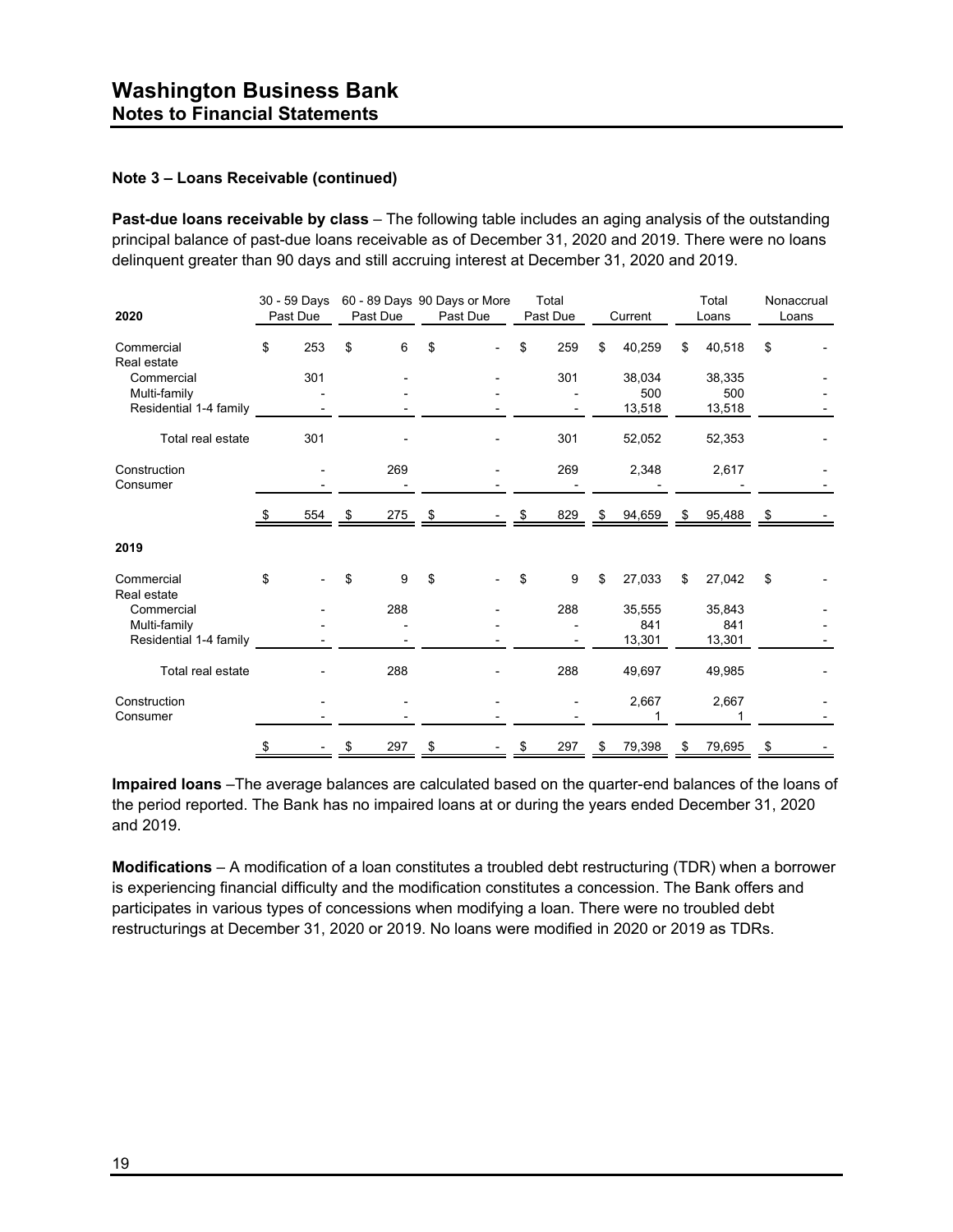**Past-due loans receivable by class** – The following table includes an aging analysis of the outstanding principal balance of past-due loans receivable as of December 31, 2020 and 2019. There were no loans delinquent greater than 90 days and still accruing interest at December 31, 2020 and 2019.

| 2020                                                 | 30 - 59 Days<br>Past Due | Past Due  | 60 - 89 Days 90 Days or More<br>Past Due | Total<br>Past Due | Current                 | Total<br>Loans          | Nonaccrual<br>Loans |
|------------------------------------------------------|--------------------------|-----------|------------------------------------------|-------------------|-------------------------|-------------------------|---------------------|
| Commercial<br>Real estate                            | \$<br>253                | \$<br>6   | \$                                       | \$<br>259         | \$<br>40,259            | \$<br>40,518            | \$                  |
| Commercial<br>Multi-family<br>Residential 1-4 family | 301                      |           |                                          | 301               | 38,034<br>500<br>13,518 | 38,335<br>500<br>13,518 |                     |
| Total real estate                                    | 301                      |           |                                          | 301               | 52,052                  | 52,353                  |                     |
| Construction<br>Consumer                             |                          | 269       |                                          | 269               | 2,348                   | 2,617                   |                     |
|                                                      | 554                      | \$<br>275 | \$                                       | 829               | \$<br>94,659            | \$<br>95,488            | \$                  |
| 2019                                                 |                          |           |                                          |                   |                         |                         |                     |
| Commercial<br>Real estate                            | \$                       | \$<br>9   | \$                                       | \$<br>9           | \$<br>27,033            | \$<br>27,042            | \$                  |
| Commercial<br>Multi-family<br>Residential 1-4 family |                          | 288       |                                          | 288               | 35,555<br>841<br>13,301 | 35,843<br>841<br>13,301 |                     |
| Total real estate                                    |                          | 288       |                                          | 288               | 49,697                  | 49,985                  |                     |
| Construction<br>Consumer                             |                          |           |                                          |                   | 2,667                   | 2,667                   |                     |
|                                                      | \$                       | \$<br>297 | \$                                       | \$<br>297         | \$<br>79,398            | \$<br>79,695            | \$                  |

**Impaired loans** –The average balances are calculated based on the quarter-end balances of the loans of the period reported. The Bank has no impaired loans at or during the years ended December 31, 2020 and 2019.

**Modifications** – A modification of a loan constitutes a troubled debt restructuring (TDR) when a borrower is experiencing financial difficulty and the modification constitutes a concession. The Bank offers and participates in various types of concessions when modifying a loan. There were no troubled debt restructurings at December 31, 2020 or 2019. No loans were modified in 2020 or 2019 as TDRs.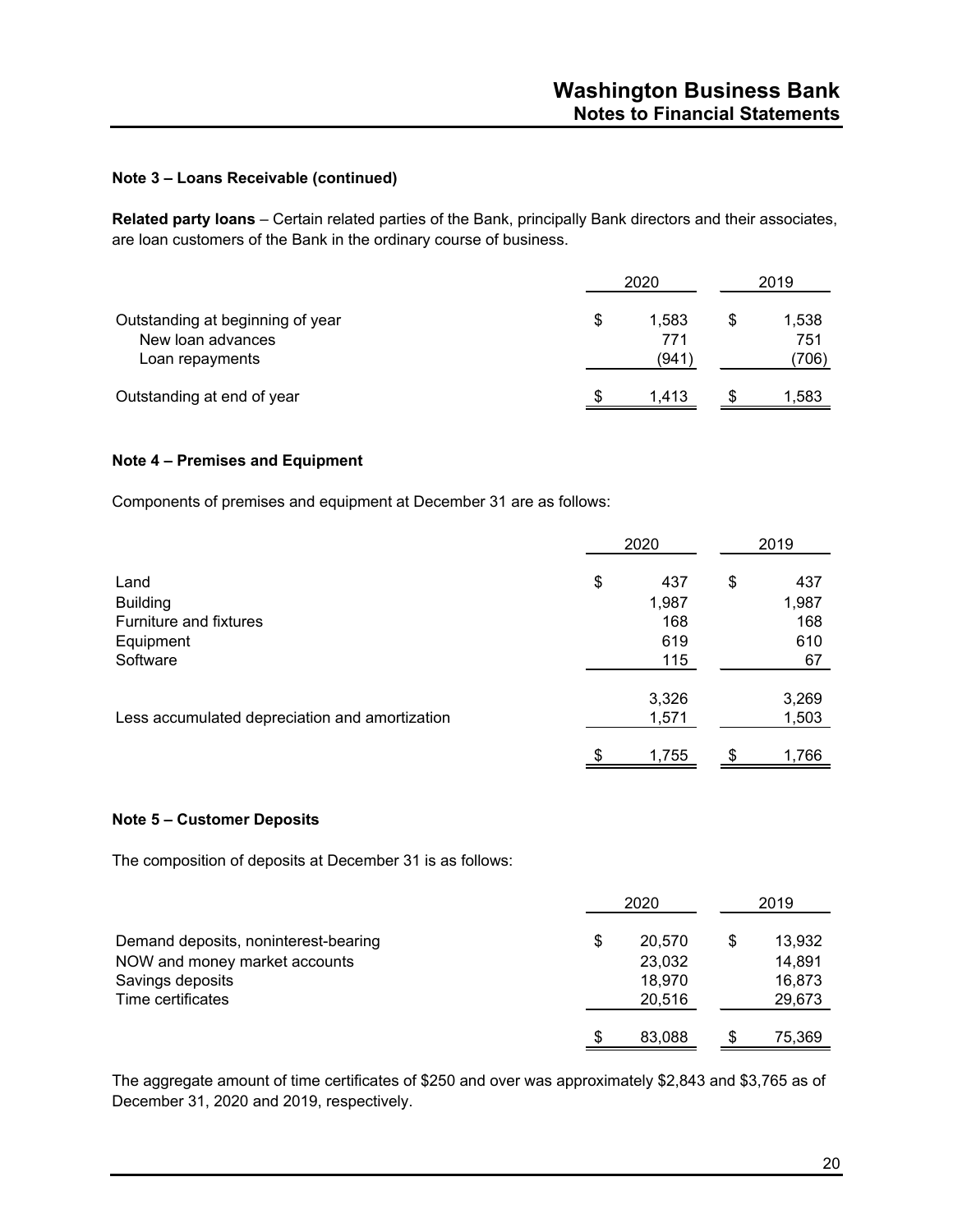**Related party loans** – Certain related parties of the Bank, principally Bank directors and their associates, are loan customers of the Bank in the ordinary course of business.

|                                                                          |    | 2020                 |  |                       |  |
|--------------------------------------------------------------------------|----|----------------------|--|-----------------------|--|
| Outstanding at beginning of year<br>New loan advances<br>Loan repayments | \$ | 1,583<br>771<br>(941 |  | 1,538<br>751<br>(706) |  |
| Outstanding at end of year                                               | S  | 1.413                |  | 1,583                 |  |

#### **Note 4 – Premises and Equipment**

Components of premises and equipment at December 31 are as follows:

|                                                | 2020 | 2019  |    |       |
|------------------------------------------------|------|-------|----|-------|
| Land                                           | \$   | 437   | \$ | 437   |
| <b>Building</b>                                |      | 1,987 |    | 1,987 |
| Furniture and fixtures                         |      | 168   |    | 168   |
| Equipment                                      |      | 619   |    | 610   |
| Software                                       |      | 115   |    | 67    |
|                                                |      | 3,326 |    | 3,269 |
| Less accumulated depreciation and amortization |      | 1,571 |    | 1,503 |
|                                                | \$   | 1,755 | \$ | 1,766 |

#### **Note 5 – Customer Deposits**

The composition of deposits at December 31 is as follows:

|                                      | 2020 |        | 2019   |
|--------------------------------------|------|--------|--------|
| Demand deposits, noninterest-bearing | \$   | 20.570 | 13,932 |
| NOW and money market accounts        |      | 23,032 | 14,891 |
| Savings deposits                     |      | 18,970 | 16,873 |
| Time certificates                    |      | 20,516 | 29,673 |
|                                      | \$   | 83,088 | 75,369 |

The aggregate amount of time certificates of \$250 and over was approximately \$2,843 and \$3,765 as of December 31, 2020 and 2019, respectively.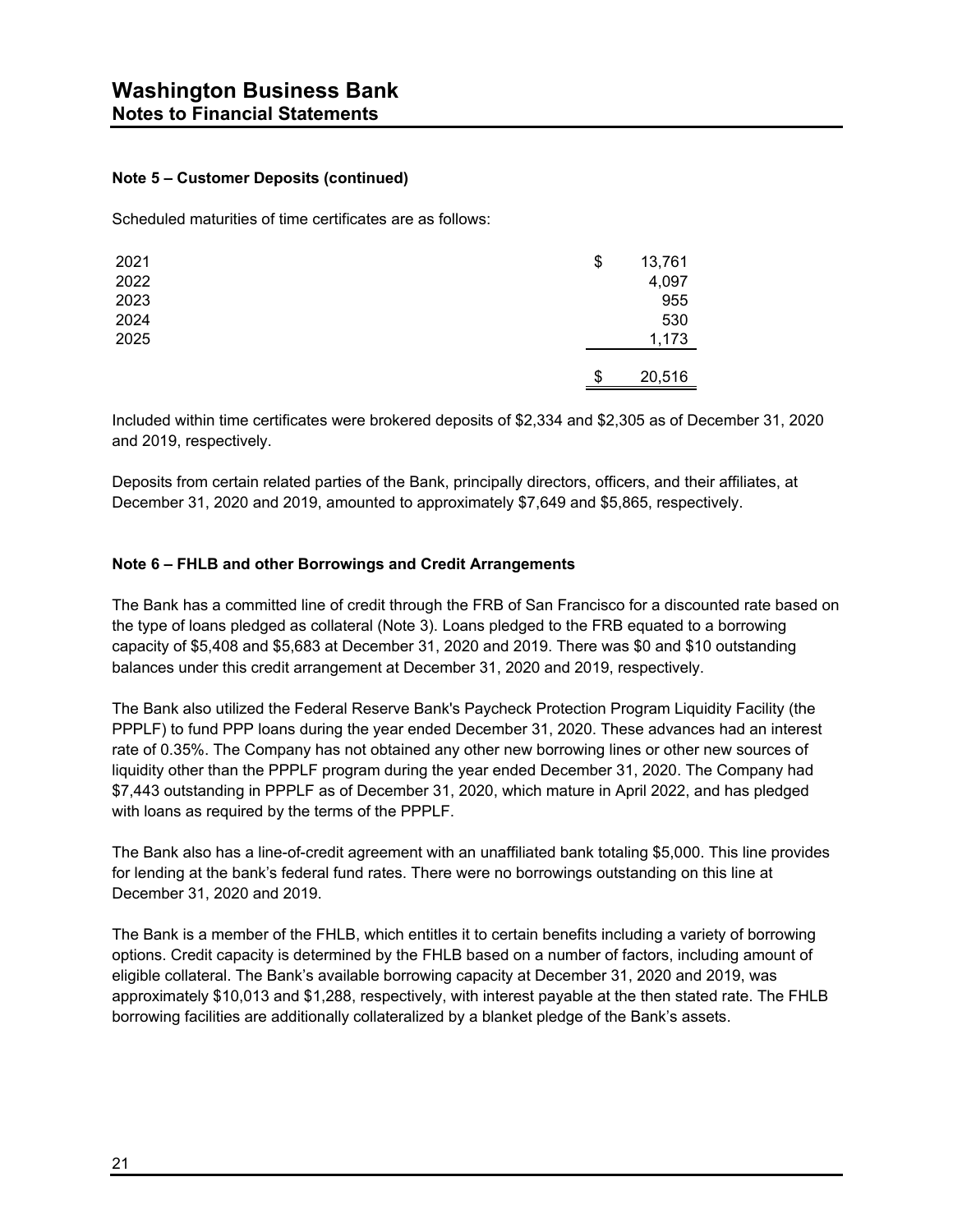#### **Note 5 – Customer Deposits (continued)**

Scheduled maturities of time certificates are as follows:

| 2021 | \$<br>13,761 |
|------|--------------|
| 2022 | 4,097        |
| 2023 | 955          |
| 2024 | 530          |
| 2025 | 1,173        |
|      |              |
|      | \$<br>20,516 |

Included within time certificates were brokered deposits of \$2,334 and \$2,305 as of December 31, 2020 and 2019, respectively.

Deposits from certain related parties of the Bank, principally directors, officers, and their affiliates, at December 31, 2020 and 2019, amounted to approximately \$7,649 and \$5,865, respectively.

#### **Note 6 – FHLB and other Borrowings and Credit Arrangements**

The Bank has a committed line of credit through the FRB of San Francisco for a discounted rate based on the type of loans pledged as collateral (Note 3). Loans pledged to the FRB equated to a borrowing capacity of \$5,408 and \$5,683 at December 31, 2020 and 2019. There was \$0 and \$10 outstanding balances under this credit arrangement at December 31, 2020 and 2019, respectively.

The Bank also utilized the Federal Reserve Bank's Paycheck Protection Program Liquidity Facility (the PPPLF) to fund PPP loans during the year ended December 31, 2020. These advances had an interest rate of 0.35%. The Company has not obtained any other new borrowing lines or other new sources of liquidity other than the PPPLF program during the year ended December 31, 2020. The Company had \$7,443 outstanding in PPPLF as of December 31, 2020, which mature in April 2022, and has pledged with loans as required by the terms of the PPPLF.

The Bank also has a line-of-credit agreement with an unaffiliated bank totaling \$5,000. This line provides for lending at the bank's federal fund rates. There were no borrowings outstanding on this line at December 31, 2020 and 2019.

The Bank is a member of the FHLB, which entitles it to certain benefits including a variety of borrowing options. Credit capacity is determined by the FHLB based on a number of factors, including amount of eligible collateral. The Bank's available borrowing capacity at December 31, 2020 and 2019, was approximately \$10,013 and \$1,288, respectively, with interest payable at the then stated rate. The FHLB borrowing facilities are additionally collateralized by a blanket pledge of the Bank's assets.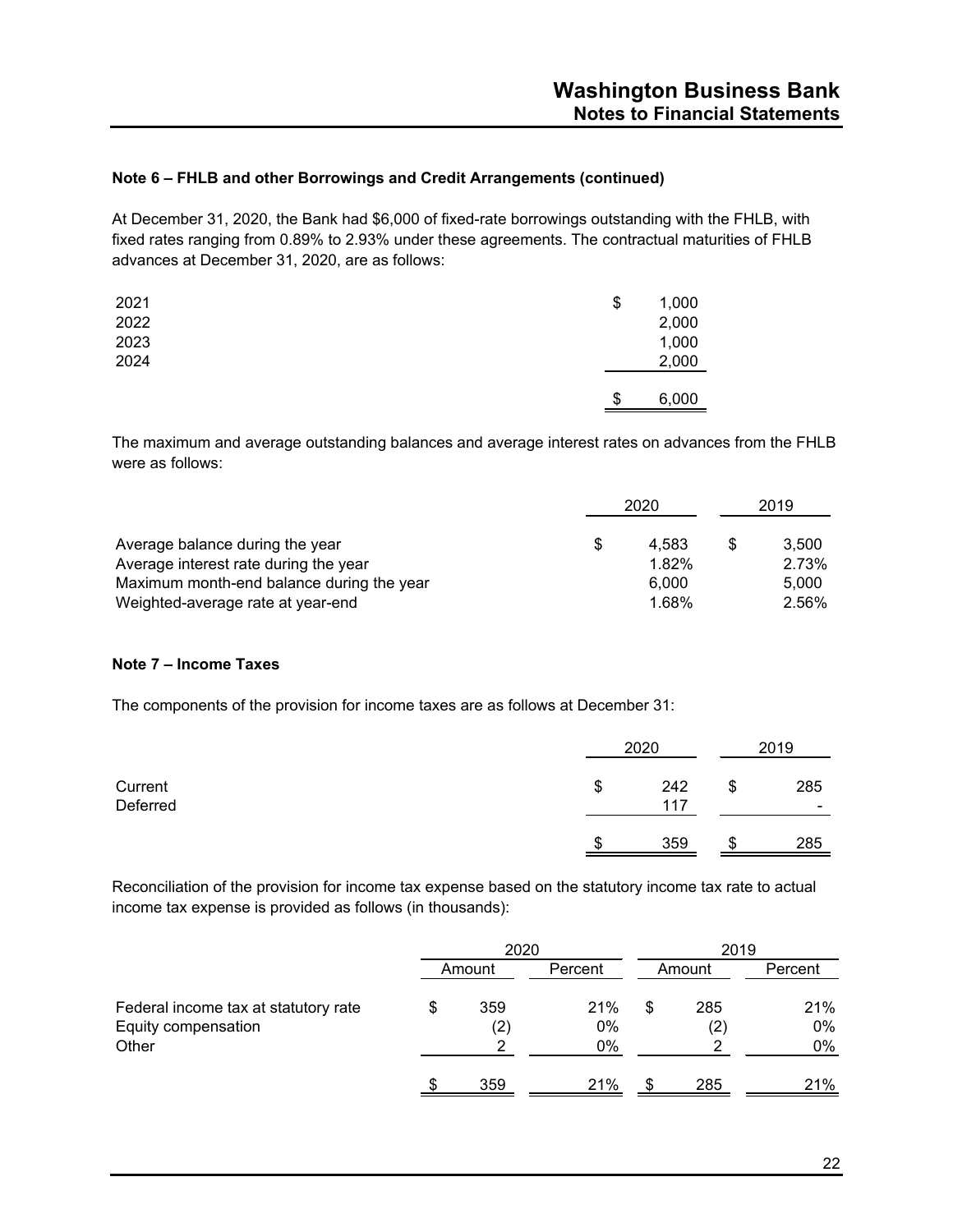#### **Note 6 – FHLB and other Borrowings and Credit Arrangements (continued)**

At December 31, 2020, the Bank had \$6,000 of fixed-rate borrowings outstanding with the FHLB, with fixed rates ranging from 0.89% to 2.93% under these agreements. The contractual maturities of FHLB advances at December 31, 2020, are as follows:

| 2021<br>2022 | \$<br>1,000<br>2,000 |
|--------------|----------------------|
| 2023         | 1,000                |
| 2024         | 2,000                |
|              | \$<br>6,000          |

The maximum and average outstanding balances and average interest rates on advances from the FHLB were as follows:

|                                           | 2020 |       | 2019 |       |
|-------------------------------------------|------|-------|------|-------|
| Average balance during the year           | S    | 4.583 |      | 3.500 |
| Average interest rate during the year     |      | 1.82% |      | 2.73% |
| Maximum month-end balance during the year |      | 6.000 |      | 5.000 |
| Weighted-average rate at year-end         |      | 1.68% |      | 2.56% |

#### **Note 7 – Income Taxes**

The components of the provision for income taxes are as follows at December 31:

|                     | 2020             |    | 2019     |  |
|---------------------|------------------|----|----------|--|
| Current<br>Deferred | \$<br>242<br>117 | \$ | 285<br>۰ |  |
|                     | \$<br>359        | ۰D | 285      |  |

Reconciliation of the provision for income tax expense based on the statutory income tax rate to actual income tax expense is provided as follows (in thousands):

|                                                                      | 2020                     |                 | 2019   |            |                 |  |
|----------------------------------------------------------------------|--------------------------|-----------------|--------|------------|-----------------|--|
|                                                                      | Amount                   | Percent         | Amount |            | Percent         |  |
| Federal income tax at statutory rate<br>Equity compensation<br>Other | 359<br>$\left( 2\right)$ | 21%<br>0%<br>0% |        | 285<br>(2) | 21%<br>0%<br>0% |  |
|                                                                      | 359                      | 21%             |        | 285        | 21%             |  |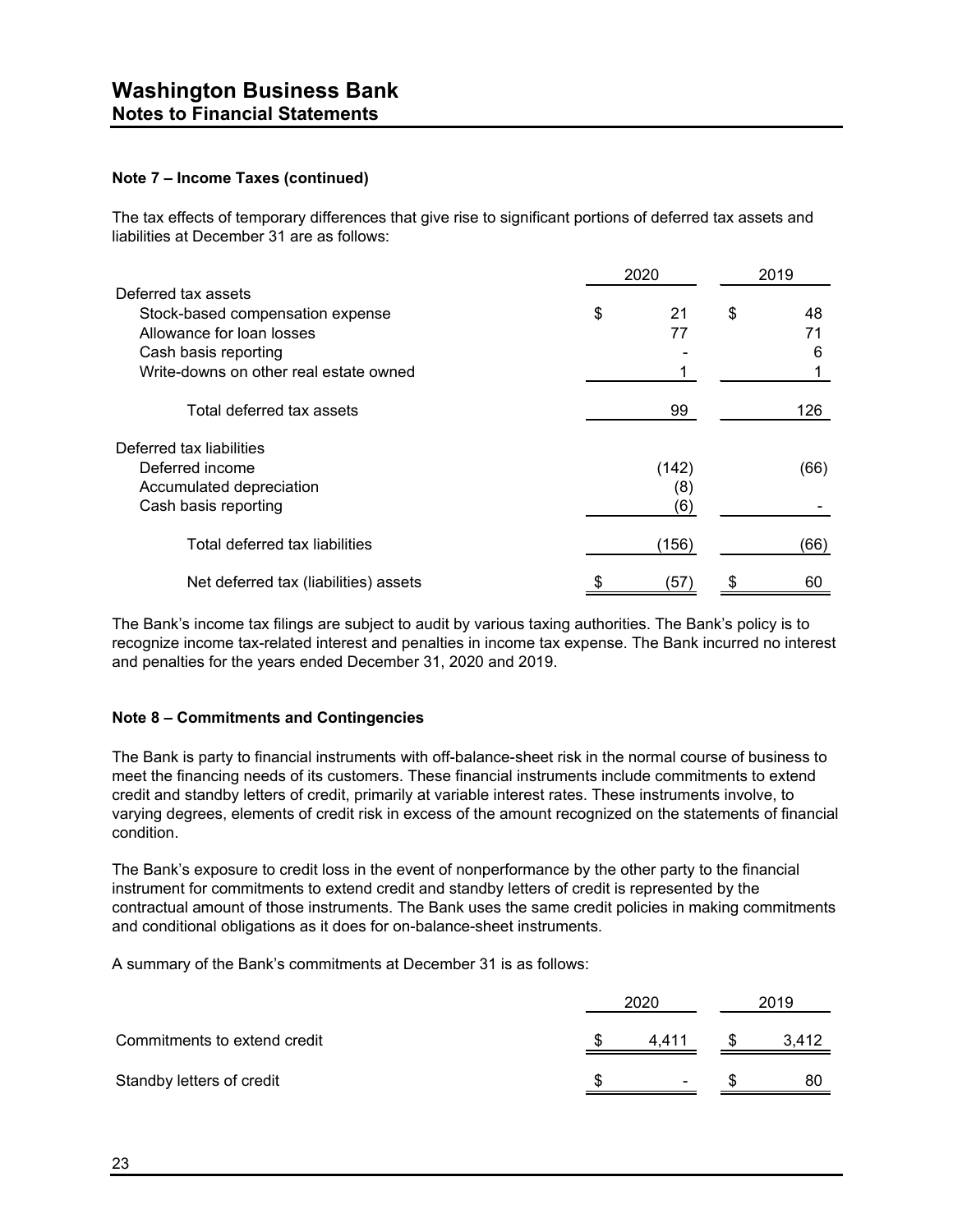#### **Note 7 – Income Taxes (continued)**

The tax effects of temporary differences that give rise to significant portions of deferred tax assets and liabilities at December 31 are as follows:

|                                        | 2020 | 2019  |    |      |
|----------------------------------------|------|-------|----|------|
| Deferred tax assets                    |      |       |    |      |
| Stock-based compensation expense       | \$   | 21    | \$ | 48   |
| Allowance for loan losses              |      | 77    |    | 71   |
| Cash basis reporting                   |      |       |    | 6    |
| Write-downs on other real estate owned |      |       |    |      |
| Total deferred tax assets              |      | 99    |    | 126  |
| Deferred tax liabilities               |      |       |    |      |
| Deferred income                        |      | (142) |    | (66) |
| Accumulated depreciation               |      | (8)   |    |      |
| Cash basis reporting                   |      | (6)   |    |      |
| Total deferred tax liabilities         |      | (156) |    | (66) |
| Net deferred tax (liabilities) assets  |      | (57)  |    | 60   |

The Bank's income tax filings are subject to audit by various taxing authorities. The Bank's policy is to recognize income tax-related interest and penalties in income tax expense. The Bank incurred no interest and penalties for the years ended December 31, 2020 and 2019.

#### **Note 8 – Commitments and Contingencies**

The Bank is party to financial instruments with off-balance-sheet risk in the normal course of business to meet the financing needs of its customers. These financial instruments include commitments to extend credit and standby letters of credit, primarily at variable interest rates. These instruments involve, to varying degrees, elements of credit risk in excess of the amount recognized on the statements of financial condition.

The Bank's exposure to credit loss in the event of nonperformance by the other party to the financial instrument for commitments to extend credit and standby letters of credit is represented by the contractual amount of those instruments. The Bank uses the same credit policies in making commitments and conditional obligations as it does for on-balance-sheet instruments.

A summary of the Bank's commitments at December 31 is as follows:

|                              | 2020 |       |  | 2019  |  |  |
|------------------------------|------|-------|--|-------|--|--|
| Commitments to extend credit | S    | 4.411 |  | 3,412 |  |  |
| Standby letters of credit    | S.   | ٠     |  | 80    |  |  |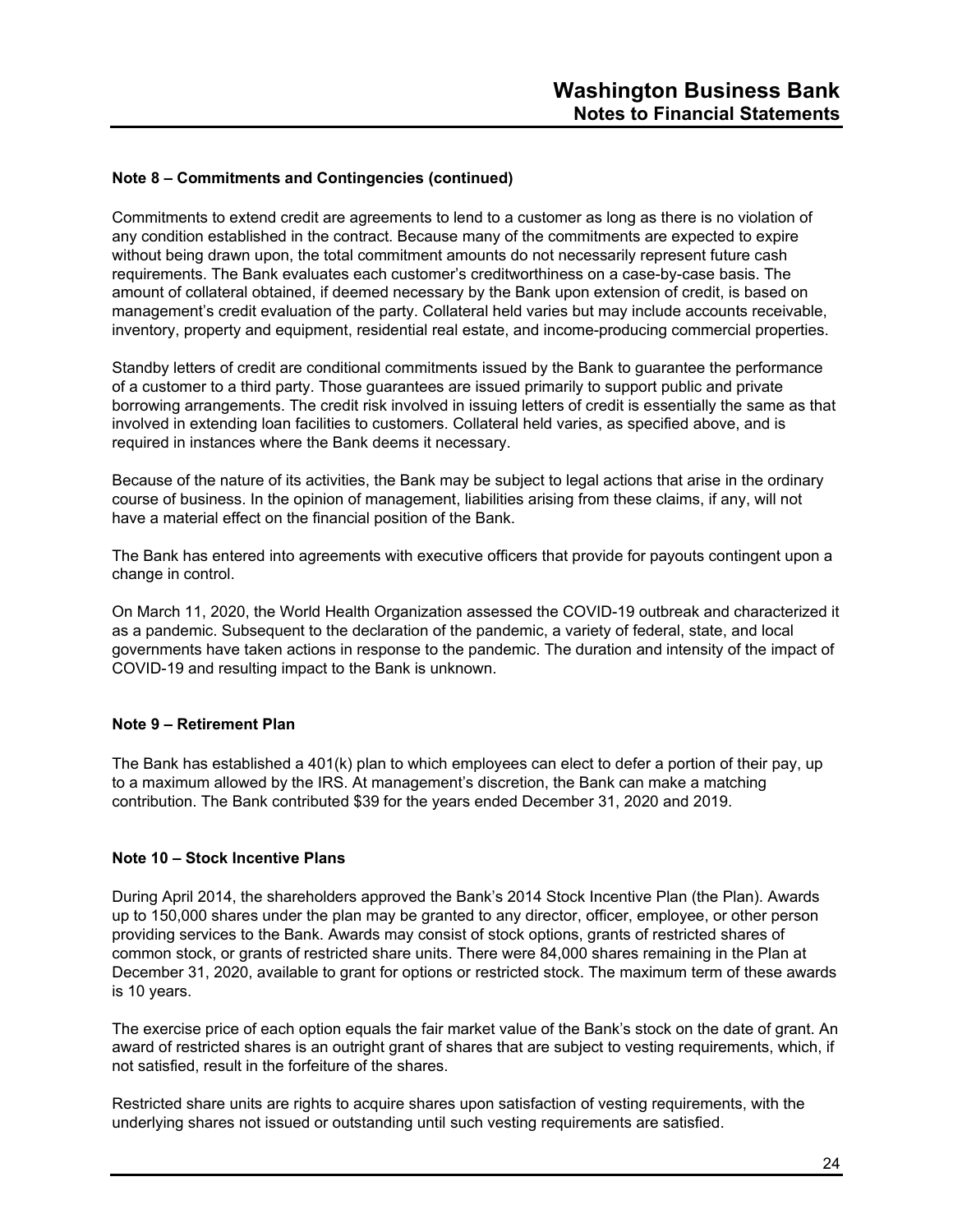#### **Note 8 – Commitments and Contingencies (continued)**

Commitments to extend credit are agreements to lend to a customer as long as there is no violation of any condition established in the contract. Because many of the commitments are expected to expire without being drawn upon, the total commitment amounts do not necessarily represent future cash requirements. The Bank evaluates each customer's creditworthiness on a case-by-case basis. The amount of collateral obtained, if deemed necessary by the Bank upon extension of credit, is based on management's credit evaluation of the party. Collateral held varies but may include accounts receivable, inventory, property and equipment, residential real estate, and income-producing commercial properties.

Standby letters of credit are conditional commitments issued by the Bank to guarantee the performance of a customer to a third party. Those guarantees are issued primarily to support public and private borrowing arrangements. The credit risk involved in issuing letters of credit is essentially the same as that involved in extending loan facilities to customers. Collateral held varies, as specified above, and is required in instances where the Bank deems it necessary.

Because of the nature of its activities, the Bank may be subject to legal actions that arise in the ordinary course of business. In the opinion of management, liabilities arising from these claims, if any, will not have a material effect on the financial position of the Bank.

The Bank has entered into agreements with executive officers that provide for payouts contingent upon a change in control.

On March 11, 2020, the World Health Organization assessed the COVID-19 outbreak and characterized it as a pandemic. Subsequent to the declaration of the pandemic, a variety of federal, state, and local governments have taken actions in response to the pandemic. The duration and intensity of the impact of COVID-19 and resulting impact to the Bank is unknown.

#### **Note 9 – Retirement Plan**

The Bank has established a 401(k) plan to which employees can elect to defer a portion of their pay, up to a maximum allowed by the IRS. At management's discretion, the Bank can make a matching contribution. The Bank contributed \$39 for the years ended December 31, 2020 and 2019.

#### **Note 10 – Stock Incentive Plans**

During April 2014, the shareholders approved the Bank's 2014 Stock Incentive Plan (the Plan). Awards up to 150,000 shares under the plan may be granted to any director, officer, employee, or other person providing services to the Bank. Awards may consist of stock options, grants of restricted shares of common stock, or grants of restricted share units. There were 84,000 shares remaining in the Plan at December 31, 2020, available to grant for options or restricted stock. The maximum term of these awards is 10 years.

The exercise price of each option equals the fair market value of the Bank's stock on the date of grant. An award of restricted shares is an outright grant of shares that are subject to vesting requirements, which, if not satisfied, result in the forfeiture of the shares.

Restricted share units are rights to acquire shares upon satisfaction of vesting requirements, with the underlying shares not issued or outstanding until such vesting requirements are satisfied.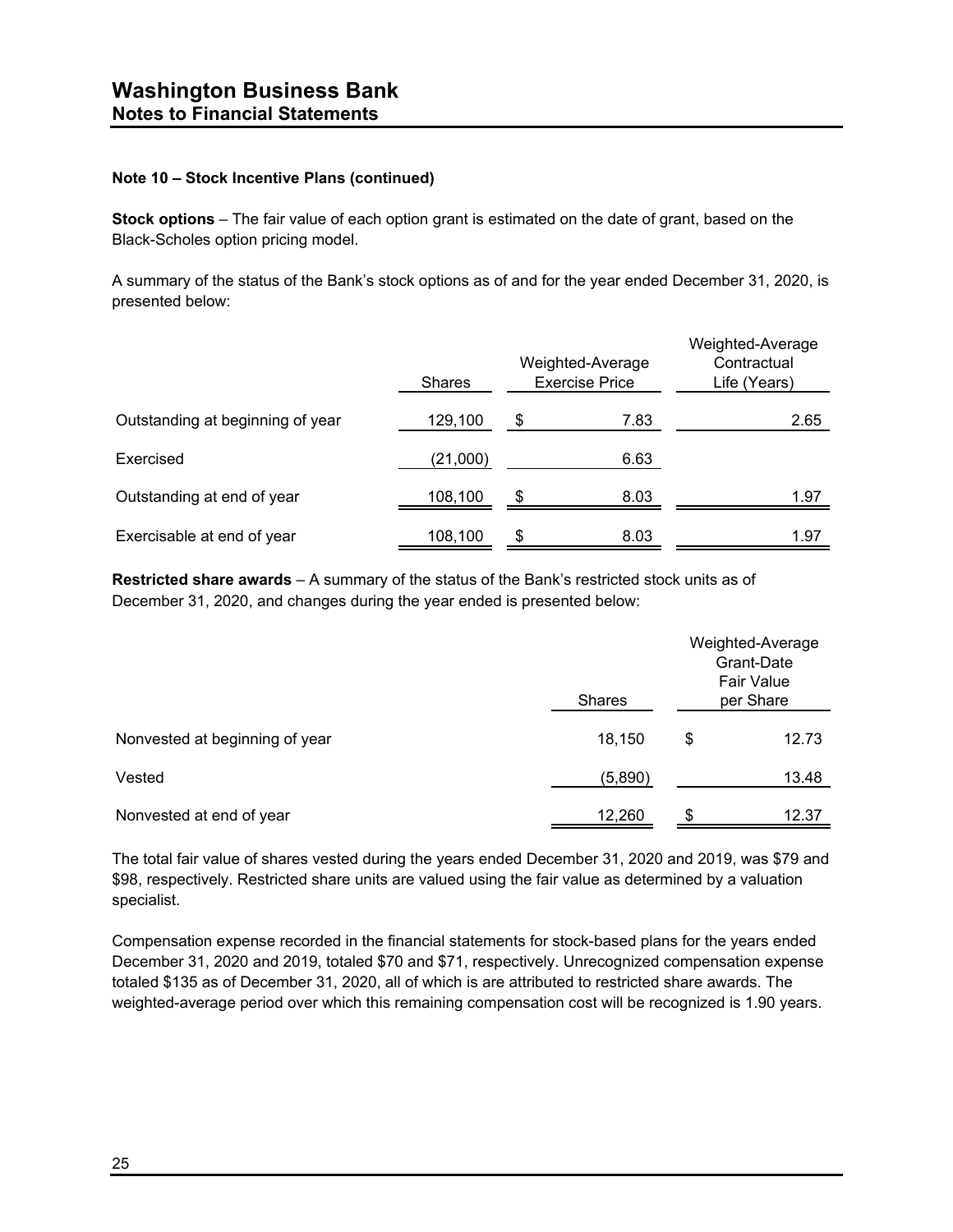#### **Note 10 – Stock Incentive Plans (continued)**

**Stock options** – The fair value of each option grant is estimated on the date of grant, based on the Black-Scholes option pricing model.

A summary of the status of the Bank's stock options as of and for the year ended December 31, 2020, is presented below:

|                                  | <b>Shares</b> | Weighted-Average<br><b>Exercise Price</b> | Weighted-Average<br>Contractual<br>Life (Years) |
|----------------------------------|---------------|-------------------------------------------|-------------------------------------------------|
| Outstanding at beginning of year | 129,100       | \$<br>7.83                                | 2.65                                            |
| Exercised                        | (21,000)      | 6.63                                      |                                                 |
| Outstanding at end of year       | 108,100       | \$<br>8.03                                | 1.97                                            |
| Exercisable at end of year       | 108,100       | \$<br>8.03                                | 1.97                                            |

**Restricted share awards** – A summary of the status of the Bank's restricted stock units as of December 31, 2020, and changes during the year ended is presented below:

|                                | <b>Shares</b> | Weighted-Average<br>Grant-Date<br><b>Fair Value</b><br>per Share |       |  |
|--------------------------------|---------------|------------------------------------------------------------------|-------|--|
| Nonvested at beginning of year | 18,150        | \$                                                               | 12.73 |  |
| Vested                         | (5,890)       |                                                                  | 13.48 |  |
| Nonvested at end of year       | 12,260        | \$.                                                              | 12.37 |  |

The total fair value of shares vested during the years ended December 31, 2020 and 2019, was \$79 and \$98, respectively. Restricted share units are valued using the fair value as determined by a valuation specialist.

Compensation expense recorded in the financial statements for stock-based plans for the years ended December 31, 2020 and 2019, totaled \$70 and \$71, respectively. Unrecognized compensation expense totaled \$135 as of December 31, 2020, all of which is are attributed to restricted share awards. The weighted-average period over which this remaining compensation cost will be recognized is 1.90 years.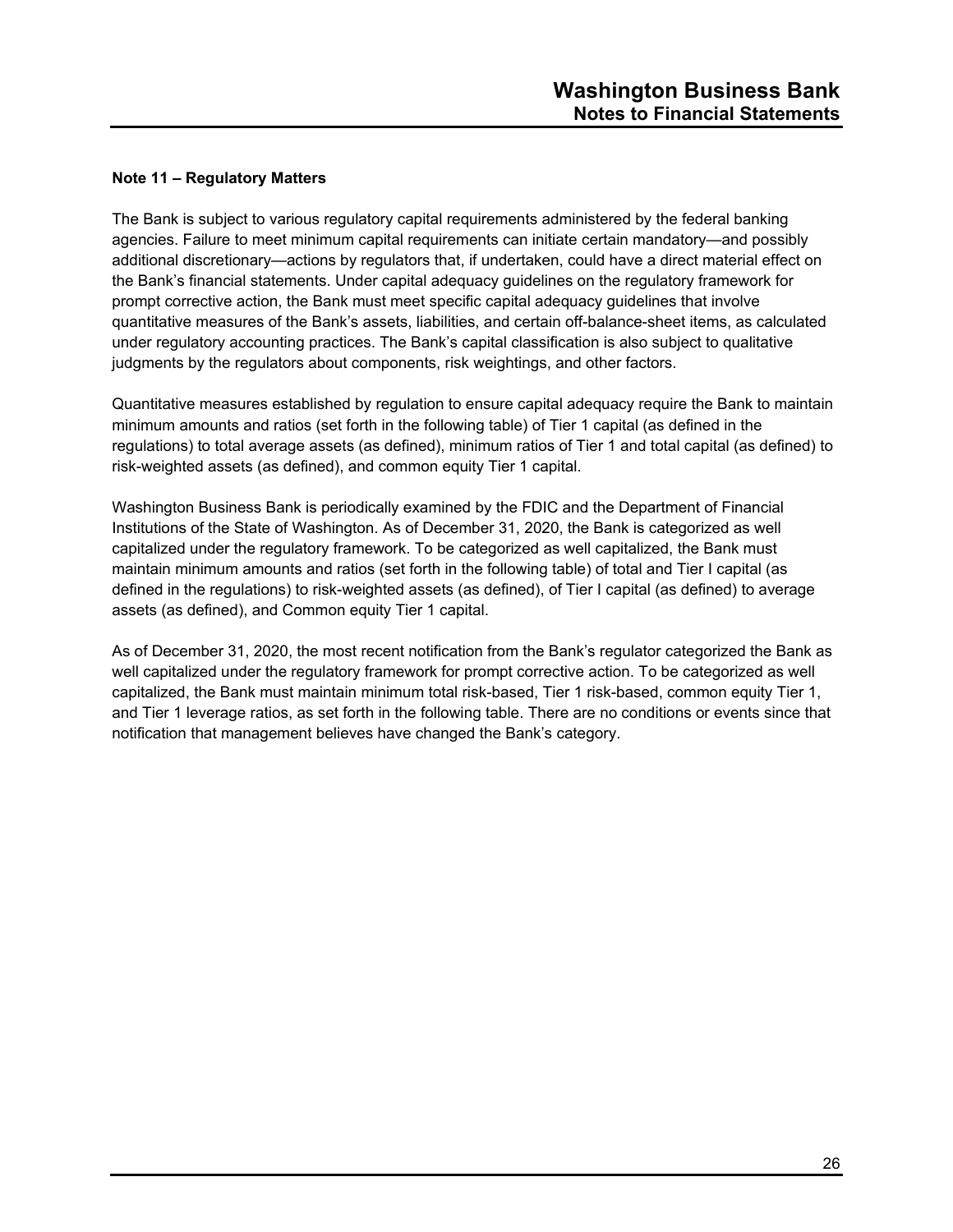#### **Note 11 – Regulatory Matters**

The Bank is subject to various regulatory capital requirements administered by the federal banking agencies. Failure to meet minimum capital requirements can initiate certain mandatory—and possibly additional discretionary—actions by regulators that, if undertaken, could have a direct material effect on the Bank's financial statements. Under capital adequacy guidelines on the regulatory framework for prompt corrective action, the Bank must meet specific capital adequacy guidelines that involve quantitative measures of the Bank's assets, liabilities, and certain off-balance-sheet items, as calculated under regulatory accounting practices. The Bank's capital classification is also subject to qualitative judgments by the regulators about components, risk weightings, and other factors.

Quantitative measures established by regulation to ensure capital adequacy require the Bank to maintain minimum amounts and ratios (set forth in the following table) of Tier 1 capital (as defined in the regulations) to total average assets (as defined), minimum ratios of Tier 1 and total capital (as defined) to risk-weighted assets (as defined), and common equity Tier 1 capital.

Washington Business Bank is periodically examined by the FDIC and the Department of Financial Institutions of the State of Washington. As of December 31, 2020, the Bank is categorized as well capitalized under the regulatory framework. To be categorized as well capitalized, the Bank must maintain minimum amounts and ratios (set forth in the following table) of total and Tier I capital (as defined in the regulations) to risk-weighted assets (as defined), of Tier I capital (as defined) to average assets (as defined), and Common equity Tier 1 capital.

As of December 31, 2020, the most recent notification from the Bank's regulator categorized the Bank as well capitalized under the regulatory framework for prompt corrective action. To be categorized as well capitalized, the Bank must maintain minimum total risk-based, Tier 1 risk-based, common equity Tier 1, and Tier 1 leverage ratios, as set forth in the following table. There are no conditions or events since that notification that management believes have changed the Bank's category.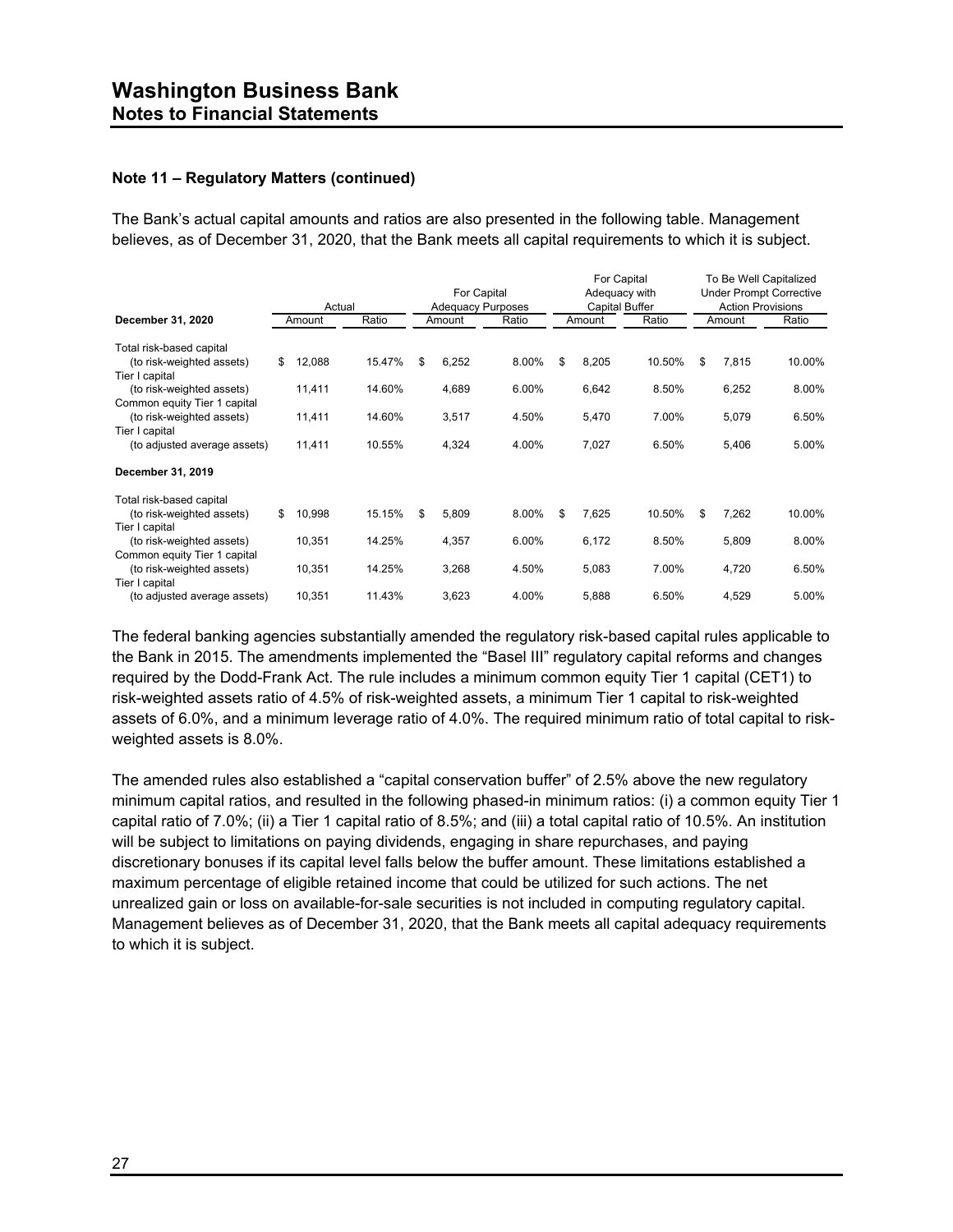#### **Note 11 – Regulatory Matters (continued)**

The Bank's actual capital amounts and ratios are also presented in the following table. Management believes, as of December 31, 2020, that the Bank meets all capital requirements to which it is subject.

|                              |              |        | For Capital              |        |       | For Capital<br>Adequacy with<br>Capital Buffer |        |        | To Be Well Capitalized<br><b>Under Prompt Corrective</b> |        |        |
|------------------------------|--------------|--------|--------------------------|--------|-------|------------------------------------------------|--------|--------|----------------------------------------------------------|--------|--------|
|                              | Actual       |        | <b>Adequacy Purposes</b> |        |       |                                                |        |        | <b>Action Provisions</b>                                 |        |        |
| December 31, 2020            | Amount       | Ratio  |                          | Amount | Ratio |                                                | Amount | Ratio  |                                                          | Amount | Ratio  |
| Total risk-based capital     |              |        |                          |        |       |                                                |        |        |                                                          |        |        |
| (to risk-weighted assets)    | \$<br>12,088 | 15.47% | \$                       | 6,252  | 8.00% | \$                                             | 8,205  | 10.50% | \$                                                       | 7,815  | 10.00% |
| Tier I capital               |              |        |                          |        |       |                                                |        |        |                                                          |        |        |
| (to risk-weighted assets)    | 11,411       | 14.60% |                          | 4,689  | 6.00% |                                                | 6,642  | 8.50%  |                                                          | 6,252  | 8.00%  |
| Common equity Tier 1 capital |              |        |                          |        |       |                                                |        |        |                                                          |        |        |
| (to risk-weighted assets)    | 11,411       | 14.60% |                          | 3,517  | 4.50% |                                                | 5,470  | 7.00%  |                                                          | 5,079  | 6.50%  |
| Tier I capital               |              |        |                          |        |       |                                                |        |        |                                                          |        |        |
| (to adjusted average assets) | 11,411       | 10.55% |                          | 4,324  | 4.00% |                                                | 7,027  | 6.50%  |                                                          | 5,406  | 5.00%  |
| December 31, 2019            |              |        |                          |        |       |                                                |        |        |                                                          |        |        |
| Total risk-based capital     |              |        |                          |        |       |                                                |        |        |                                                          |        |        |
| (to risk-weighted assets)    | \$<br>10,998 | 15.15% | \$                       | 5,809  | 8.00% | \$                                             | 7,625  | 10.50% | \$                                                       | 7,262  | 10.00% |
| Tier I capital               |              |        |                          |        |       |                                                |        |        |                                                          |        |        |
| (to risk-weighted assets)    | 10,351       | 14.25% |                          | 4,357  | 6.00% |                                                | 6,172  | 8.50%  |                                                          | 5,809  | 8.00%  |
| Common equity Tier 1 capital |              |        |                          |        |       |                                                |        |        |                                                          |        |        |
| (to risk-weighted assets)    | 10,351       | 14.25% |                          | 3,268  | 4.50% |                                                | 5,083  | 7.00%  |                                                          | 4,720  | 6.50%  |
| Tier I capital               |              |        |                          |        |       |                                                |        |        |                                                          |        |        |
| (to adjusted average assets) | 10,351       | 11.43% |                          | 3,623  | 4.00% |                                                | 5,888  | 6.50%  |                                                          | 4,529  | 5.00%  |

The federal banking agencies substantially amended the regulatory risk-based capital rules applicable to the Bank in 2015. The amendments implemented the "Basel III" regulatory capital reforms and changes required by the Dodd-Frank Act. The rule includes a minimum common equity Tier 1 capital (CET1) to risk-weighted assets ratio of 4.5% of risk-weighted assets, a minimum Tier 1 capital to risk-weighted assets of 6.0%, and a minimum leverage ratio of 4.0%. The required minimum ratio of total capital to riskweighted assets is 8.0%.

The amended rules also established a "capital conservation buffer" of 2.5% above the new regulatory minimum capital ratios, and resulted in the following phased-in minimum ratios: (i) a common equity Tier 1 capital ratio of 7.0%; (ii) a Tier 1 capital ratio of 8.5%; and (iii) a total capital ratio of 10.5%. An institution will be subject to limitations on paying dividends, engaging in share repurchases, and paying discretionary bonuses if its capital level falls below the buffer amount. These limitations established a maximum percentage of eligible retained income that could be utilized for such actions. The net unrealized gain or loss on available-for-sale securities is not included in computing regulatory capital. Management believes as of December 31, 2020, that the Bank meets all capital adequacy requirements to which it is subject.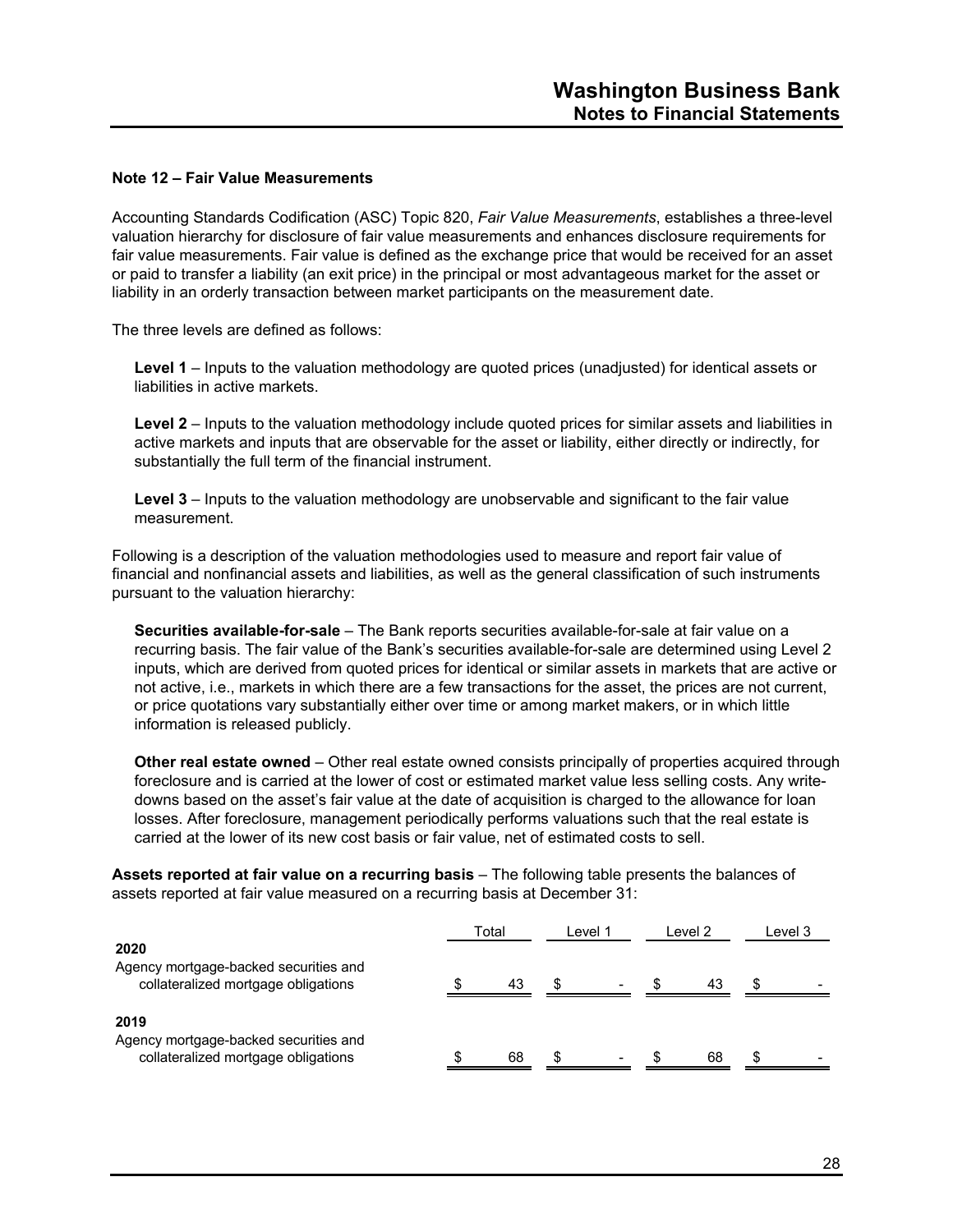#### **Note 12 – Fair Value Measurements**

Accounting Standards Codification (ASC) Topic 820, *Fair Value Measurements*, establishes a three-level valuation hierarchy for disclosure of fair value measurements and enhances disclosure requirements for fair value measurements. Fair value is defined as the exchange price that would be received for an asset or paid to transfer a liability (an exit price) in the principal or most advantageous market for the asset or liability in an orderly transaction between market participants on the measurement date.

The three levels are defined as follows:

**Level 1** – Inputs to the valuation methodology are quoted prices (unadjusted) for identical assets or liabilities in active markets.

**Level 2** – Inputs to the valuation methodology include quoted prices for similar assets and liabilities in active markets and inputs that are observable for the asset or liability, either directly or indirectly, for substantially the full term of the financial instrument.

**Level 3** – Inputs to the valuation methodology are unobservable and significant to the fair value measurement.

Following is a description of the valuation methodologies used to measure and report fair value of financial and nonfinancial assets and liabilities, as well as the general classification of such instruments pursuant to the valuation hierarchy:

**Securities available-for-sale** – The Bank reports securities available-for-sale at fair value on a recurring basis. The fair value of the Bank's securities available-for-sale are determined using Level 2 inputs, which are derived from quoted prices for identical or similar assets in markets that are active or not active, i.e., markets in which there are a few transactions for the asset, the prices are not current, or price quotations vary substantially either over time or among market makers, or in which little information is released publicly.

**Other real estate owned** – Other real estate owned consists principally of properties acquired through foreclosure and is carried at the lower of cost or estimated market value less selling costs. Any writedowns based on the asset's fair value at the date of acquisition is charged to the allowance for loan losses. After foreclosure, management periodically performs valuations such that the real estate is carried at the lower of its new cost basis or fair value, net of estimated costs to sell.

**Assets reported at fair value on a recurring basis** – The following table presents the balances of assets reported at fair value measured on a recurring basis at December 31:

|                                                                                      | Total |    | l evel 1 |                | l evel 2 | Level 3 |  |
|--------------------------------------------------------------------------------------|-------|----|----------|----------------|----------|---------|--|
| 2020<br>Agency mortgage-backed securities and<br>collateralized mortgage obligations |       | 43 | S        | $\blacksquare$ | 43       |         |  |
| 2019<br>Agency mortgage-backed securities and<br>collateralized mortgage obligations |       | 68 | \$       |                | 68       |         |  |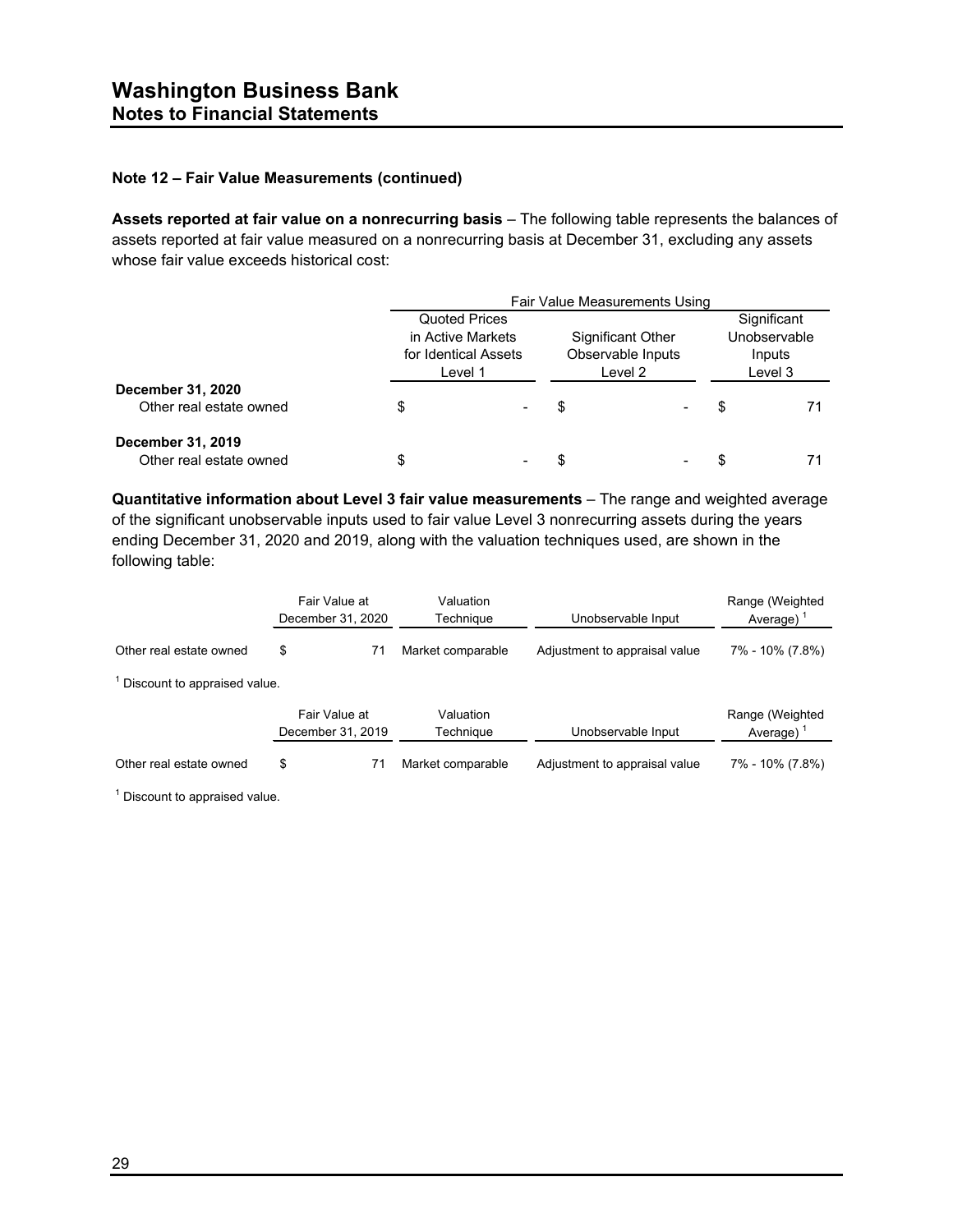#### **Note 12 – Fair Value Measurements (continued)**

**Assets reported at fair value on a nonrecurring basis** – The following table represents the balances of assets reported at fair value measured on a nonrecurring basis at December 31, excluding any assets whose fair value exceeds historical cost:

|                         | Fair Value Measurements Using             |  |                          |  |              |  |  |
|-------------------------|-------------------------------------------|--|--------------------------|--|--------------|--|--|
|                         | Quoted Prices                             |  |                          |  | Significant  |  |  |
|                         | in Active Markets<br>for Identical Assets |  | <b>Significant Other</b> |  | Unobservable |  |  |
|                         |                                           |  | Observable Inputs        |  | Inputs       |  |  |
|                         | Level 1                                   |  | Level 2                  |  | Level 3      |  |  |
| December 31, 2020       |                                           |  |                          |  |              |  |  |
| Other real estate owned | \$                                        |  | \$                       |  | S            |  |  |
| December 31, 2019       |                                           |  |                          |  |              |  |  |
| Other real estate owned | \$                                        |  | S                        |  |              |  |  |

**Quantitative information about Level 3 fair value measurements** – The range and weighted average of the significant unobservable inputs used to fair value Level 3 nonrecurring assets during the years ending December 31, 2020 and 2019, along with the valuation techniques used, are shown in the following table:

|                              | Fair Value at<br>December 31, 2020 | Valuation<br>Technique | Unobservable Input            |                                 |  |  | Range (Weighted<br>Average) $1$ |  |
|------------------------------|------------------------------------|------------------------|-------------------------------|---------------------------------|--|--|---------------------------------|--|
| Other real estate owned      | \$<br>71                           | Market comparable      | Adjustment to appraisal value | 7% - 10% (7.8%)                 |  |  |                                 |  |
| Discount to appraised value. |                                    |                        |                               |                                 |  |  |                                 |  |
|                              | Fair Value at<br>December 31, 2019 | Valuation<br>Technique | Unobservable Input            | Range (Weighted<br>Average) $1$ |  |  |                                 |  |
| Other real estate owned      | \$<br>71                           | Market comparable      | Adjustment to appraisal value | 7% - 10% (7.8%)                 |  |  |                                 |  |

 $1$  Discount to appraised value.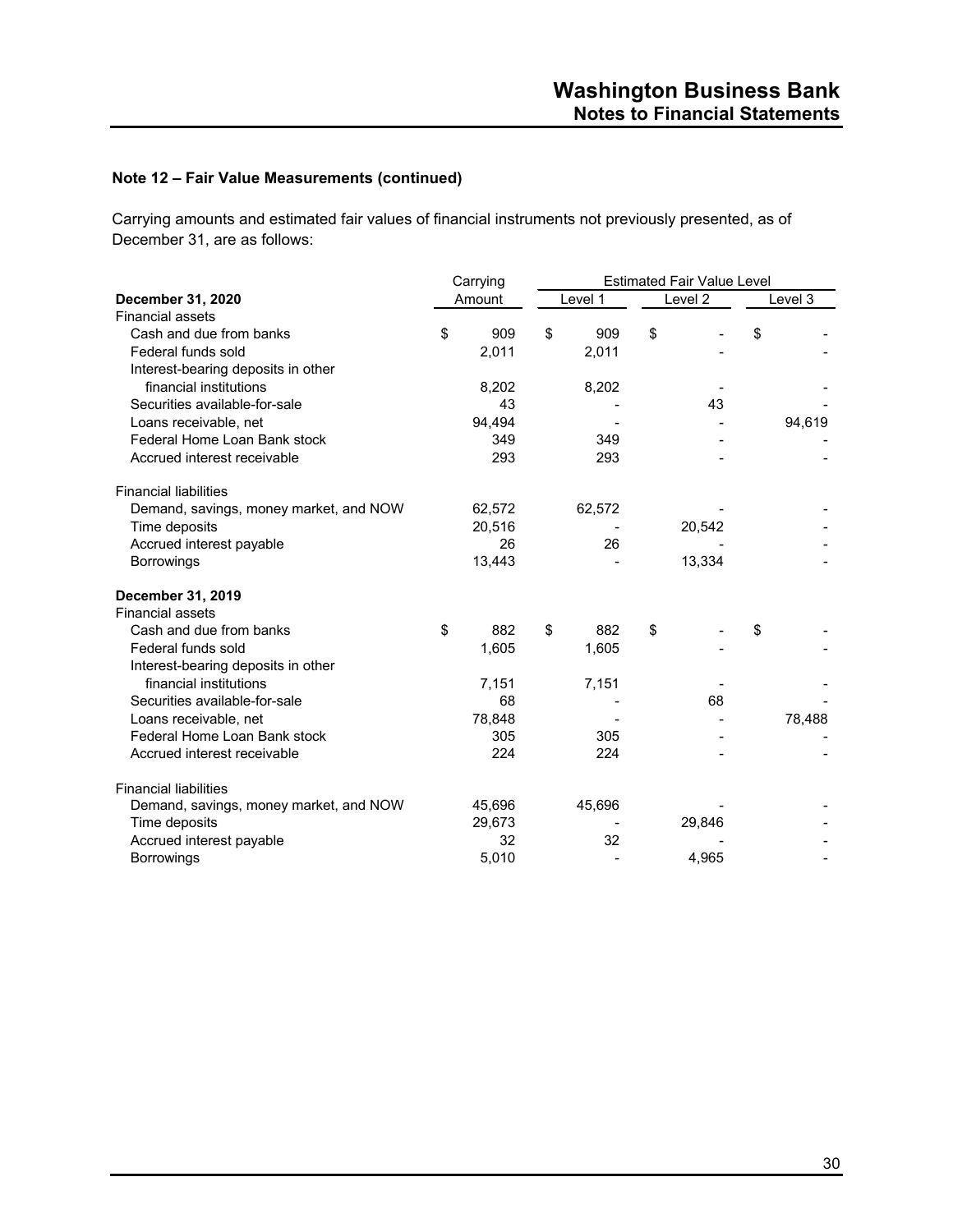#### **Note 12 – Fair Value Measurements (continued)**

Carrying amounts and estimated fair values of financial instruments not previously presented, as of December 31, are as follows:

|                                        | Carrying |        |    | <b>Estimated Fair Value Level</b> |    |         |    |         |  |
|----------------------------------------|----------|--------|----|-----------------------------------|----|---------|----|---------|--|
| December 31, 2020                      |          | Amount |    | Level 1                           |    | Level 2 |    | Level 3 |  |
| <b>Financial assets</b>                |          |        |    |                                   |    |         |    |         |  |
| Cash and due from banks                | \$       | 909    | \$ | 909                               | \$ |         | \$ |         |  |
| Federal funds sold                     |          | 2,011  |    | 2,011                             |    |         |    |         |  |
| Interest-bearing deposits in other     |          |        |    |                                   |    |         |    |         |  |
| financial institutions                 |          | 8,202  |    | 8,202                             |    |         |    |         |  |
| Securities available-for-sale          |          | 43     |    |                                   |    | 43      |    |         |  |
| Loans receivable, net                  |          | 94.494 |    |                                   |    |         |    | 94,619  |  |
| Federal Home Loan Bank stock           |          | 349    |    | 349                               |    |         |    |         |  |
| Accrued interest receivable            |          | 293    |    | 293                               |    |         |    |         |  |
| <b>Financial liabilities</b>           |          |        |    |                                   |    |         |    |         |  |
| Demand, savings, money market, and NOW |          | 62,572 |    | 62,572                            |    |         |    |         |  |
| Time deposits                          |          | 20,516 |    |                                   |    | 20,542  |    |         |  |
| Accrued interest payable               |          | 26     |    | 26                                |    |         |    |         |  |
| <b>Borrowings</b>                      |          | 13,443 |    |                                   |    | 13,334  |    |         |  |
| December 31, 2019                      |          |        |    |                                   |    |         |    |         |  |
| <b>Financial assets</b>                |          |        |    |                                   |    |         |    |         |  |
| Cash and due from banks                | \$       | 882    | \$ | 882                               | \$ |         | \$ |         |  |
| Federal funds sold                     |          | 1,605  |    | 1,605                             |    |         |    |         |  |
| Interest-bearing deposits in other     |          |        |    |                                   |    |         |    |         |  |
| financial institutions                 |          | 7,151  |    | 7,151                             |    |         |    |         |  |
| Securities available-for-sale          |          | 68     |    |                                   |    | 68      |    |         |  |
| Loans receivable, net                  |          | 78,848 |    |                                   |    |         |    | 78,488  |  |
| Federal Home Loan Bank stock           |          | 305    |    | 305                               |    |         |    |         |  |
| Accrued interest receivable            |          | 224    |    | 224                               |    |         |    |         |  |
| <b>Financial liabilities</b>           |          |        |    |                                   |    |         |    |         |  |
| Demand, savings, money market, and NOW |          | 45,696 |    | 45,696                            |    |         |    |         |  |
| Time deposits                          |          | 29,673 |    |                                   |    | 29,846  |    |         |  |
| Accrued interest payable               |          | 32     |    | 32                                |    |         |    |         |  |
| <b>Borrowings</b>                      |          | 5,010  |    |                                   |    | 4,965   |    |         |  |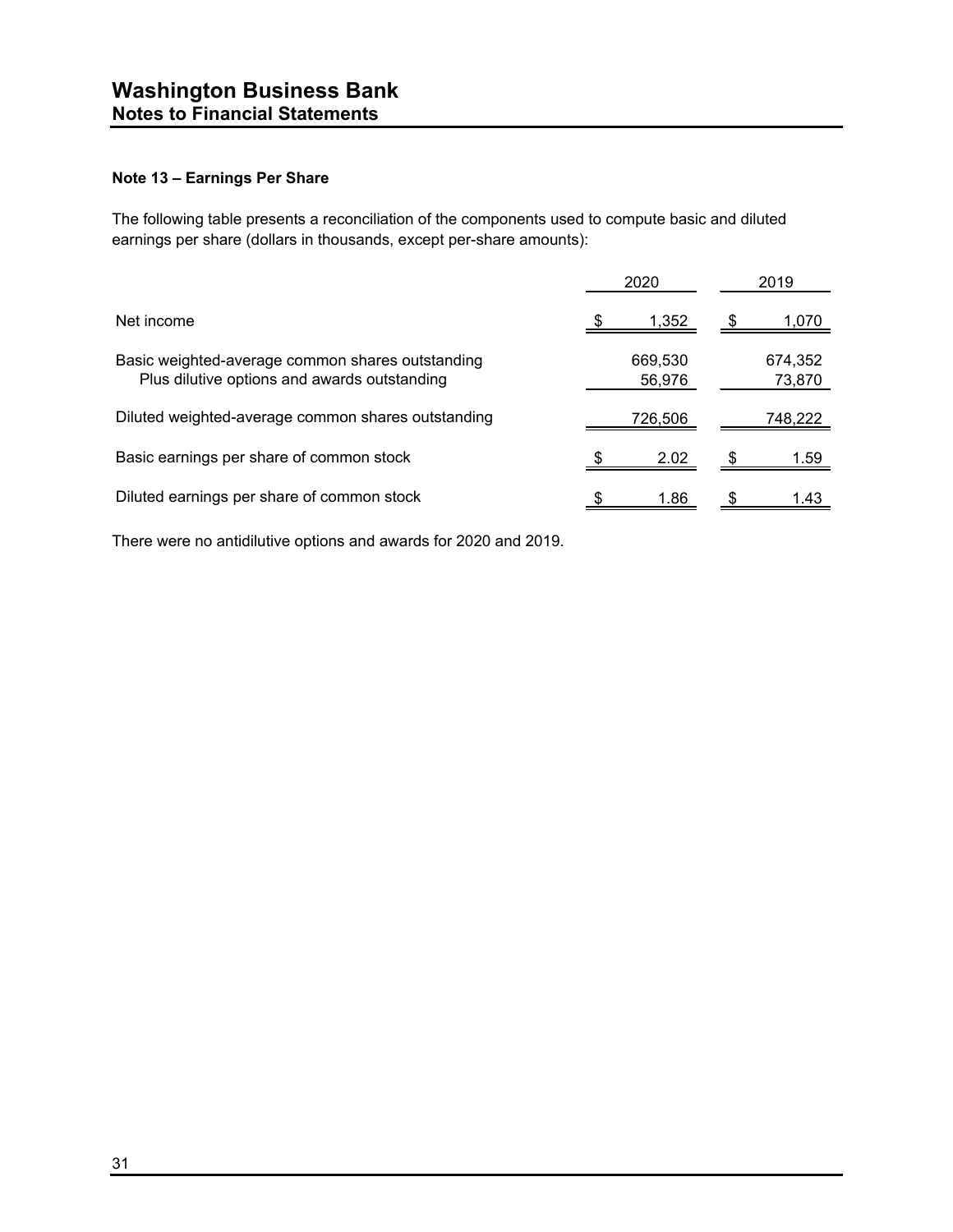#### **Note 13 – Earnings Per Share**

The following table presents a reconciliation of the components used to compute basic and diluted earnings per share (dollars in thousands, except per-share amounts):

|                                                                                                  | 2020              | 2019              |  |  |
|--------------------------------------------------------------------------------------------------|-------------------|-------------------|--|--|
| Net income                                                                                       | 1,352             | 1,070             |  |  |
| Basic weighted-average common shares outstanding<br>Plus dilutive options and awards outstanding | 669,530<br>56,976 | 674,352<br>73,870 |  |  |
| Diluted weighted-average common shares outstanding                                               | 726,506           | 748,222           |  |  |
| Basic earnings per share of common stock                                                         | 2.02              | 1.59              |  |  |
| Diluted earnings per share of common stock                                                       | 1.86              | 1 43              |  |  |

There were no antidilutive options and awards for 2020 and 2019.